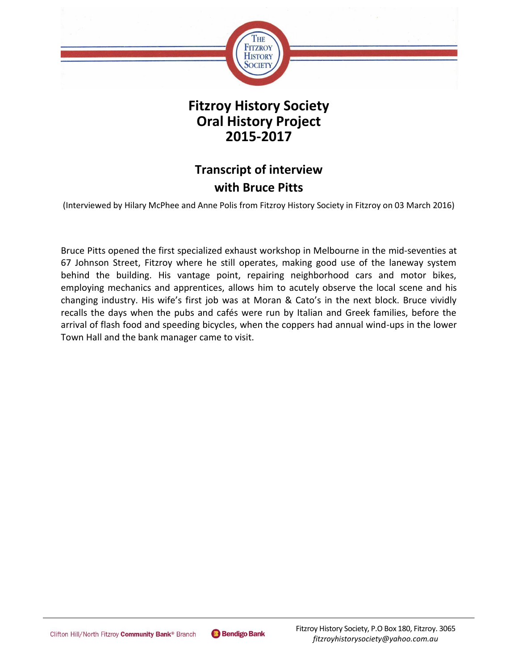

## **Fitzroy History Society Oral History Project 2015-2017**

# **Transcript of interview with Bruce Pitts**

(Interviewed by Hilary McPhee and Anne Polis from Fitzroy History Society in Fitzroy on 03 March 2016)

Bruce Pitts opened the first specialized exhaust workshop in Melbourne in the mid-seventies at 67 Johnson Street, Fitzroy where he still operates, making good use of the laneway system behind the building. His vantage point, repairing neighborhood cars and motor bikes, employing mechanics and apprentices, allows him to acutely observe the local scene and his changing industry. His wife's first job was at Moran & Cato's in the next block. Bruce vividly recalls the days when the pubs and cafés were run by Italian and Greek families, before the arrival of flash food and speeding bicycles, when the coppers had annual wind-ups in the lower Town Hall and the bank manager came to visit.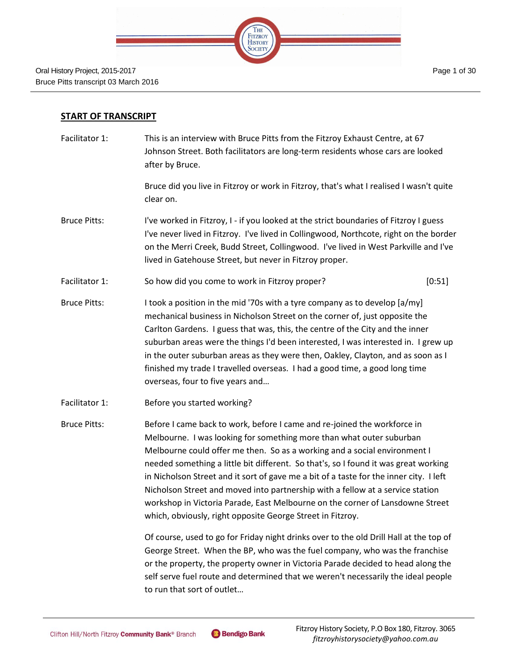

#### **START OF TRANSCRIPT**

Facilitator 1: This is an interview with Bruce Pitts from the Fitzroy Exhaust Centre, at 67 Johnson Street. Both facilitators are long-term residents whose cars are looked after by Bruce.

> Bruce did you live in Fitzroy or work in Fitzroy, that's what I realised I wasn't quite clear on.

- Bruce Pitts: I've worked in Fitzroy, I if you looked at the strict boundaries of Fitzroy I guess I've never lived in Fitzroy. I've lived in Collingwood, Northcote, right on the border on the Merri Creek, Budd Street, Collingwood. I've lived in West Parkville and I've lived in Gatehouse Street, but never in Fitzroy proper.
- Facilitator 1: So how did you come to work in Fitzroy proper? [0:51]
- Bruce Pitts: I took a position in the mid '70s with a tyre company as to develop [a/my] mechanical business in Nicholson Street on the corner of, just opposite the Carlton Gardens. I guess that was, this, the centre of the City and the inner suburban areas were the things I'd been interested, I was interested in. I grew up in the outer suburban areas as they were then, Oakley, Clayton, and as soon as I finished my trade I travelled overseas. I had a good time, a good long time overseas, four to five years and…
- Facilitator 1: Before you started working?

Bruce Pitts: Before I came back to work, before I came and re-joined the workforce in Melbourne. I was looking for something more than what outer suburban Melbourne could offer me then. So as a working and a social environment I needed something a little bit different. So that's, so I found it was great working in Nicholson Street and it sort of gave me a bit of a taste for the inner city. I left Nicholson Street and moved into partnership with a fellow at a service station workshop in Victoria Parade, East Melbourne on the corner of Lansdowne Street which, obviously, right opposite George Street in Fitzroy.

> Of course, used to go for Friday night drinks over to the old Drill Hall at the top of George Street. When the BP, who was the fuel company, who was the franchise or the property, the property owner in Victoria Parade decided to head along the self serve fuel route and determined that we weren't necessarily the ideal people to run that sort of outlet…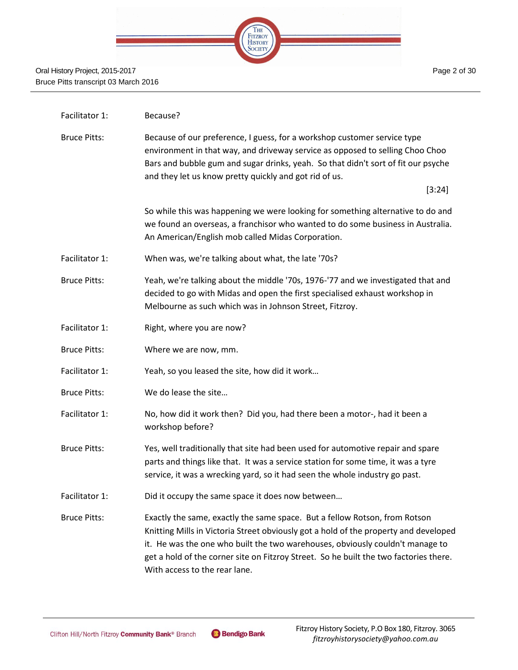

| Facilitator 1:      | Because?                                                                                                                                                                                                                                                                                                                                                                      |
|---------------------|-------------------------------------------------------------------------------------------------------------------------------------------------------------------------------------------------------------------------------------------------------------------------------------------------------------------------------------------------------------------------------|
| <b>Bruce Pitts:</b> | Because of our preference, I guess, for a workshop customer service type<br>environment in that way, and driveway service as opposed to selling Choo Choo<br>Bars and bubble gum and sugar drinks, yeah. So that didn't sort of fit our psyche<br>and they let us know pretty quickly and got rid of us.<br>[3:24]                                                            |
|                     | So while this was happening we were looking for something alternative to do and<br>we found an overseas, a franchisor who wanted to do some business in Australia.<br>An American/English mob called Midas Corporation.                                                                                                                                                       |
| Facilitator 1:      | When was, we're talking about what, the late '70s?                                                                                                                                                                                                                                                                                                                            |
| <b>Bruce Pitts:</b> | Yeah, we're talking about the middle '70s, 1976-'77 and we investigated that and<br>decided to go with Midas and open the first specialised exhaust workshop in<br>Melbourne as such which was in Johnson Street, Fitzroy.                                                                                                                                                    |
| Facilitator 1:      | Right, where you are now?                                                                                                                                                                                                                                                                                                                                                     |
| <b>Bruce Pitts:</b> | Where we are now, mm.                                                                                                                                                                                                                                                                                                                                                         |
| Facilitator 1:      | Yeah, so you leased the site, how did it work                                                                                                                                                                                                                                                                                                                                 |
| <b>Bruce Pitts:</b> | We do lease the site                                                                                                                                                                                                                                                                                                                                                          |
| Facilitator 1:      | No, how did it work then? Did you, had there been a motor-, had it been a<br>workshop before?                                                                                                                                                                                                                                                                                 |
| <b>Bruce Pitts:</b> | Yes, well traditionally that site had been used for automotive repair and spare<br>parts and things like that. It was a service station for some time, it was a tyre<br>service, it was a wrecking yard, so it had seen the whole industry go past.                                                                                                                           |
| Facilitator 1:      | Did it occupy the same space it does now between                                                                                                                                                                                                                                                                                                                              |
| <b>Bruce Pitts:</b> | Exactly the same, exactly the same space. But a fellow Rotson, from Rotson<br>Knitting Mills in Victoria Street obviously got a hold of the property and developed<br>it. He was the one who built the two warehouses, obviously couldn't manage to<br>get a hold of the corner site on Fitzroy Street. So he built the two factories there.<br>With access to the rear lane. |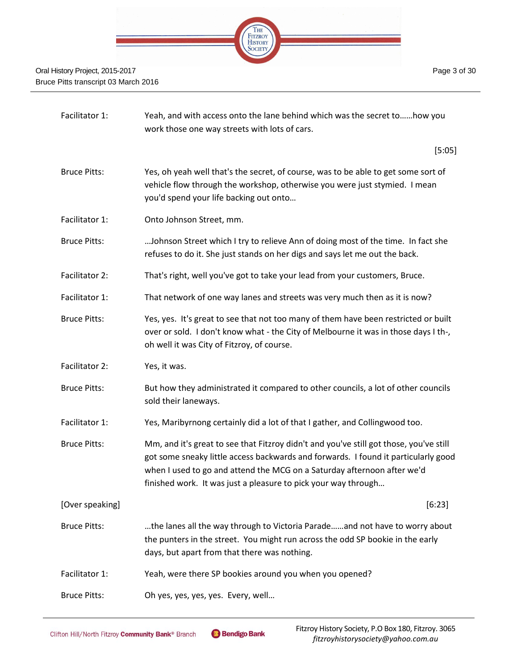

| Facilitator 1:      | Yeah, and with access onto the lane behind which was the secret tohow you<br>work those one way streets with lots of cars.                                                                                                                                                                                                |
|---------------------|---------------------------------------------------------------------------------------------------------------------------------------------------------------------------------------------------------------------------------------------------------------------------------------------------------------------------|
|                     | [5:05]                                                                                                                                                                                                                                                                                                                    |
| <b>Bruce Pitts:</b> | Yes, oh yeah well that's the secret, of course, was to be able to get some sort of<br>vehicle flow through the workshop, otherwise you were just stymied. I mean<br>you'd spend your life backing out onto                                                                                                                |
| Facilitator 1:      | Onto Johnson Street, mm.                                                                                                                                                                                                                                                                                                  |
| <b>Bruce Pitts:</b> | Johnson Street which I try to relieve Ann of doing most of the time. In fact she<br>refuses to do it. She just stands on her digs and says let me out the back.                                                                                                                                                           |
| Facilitator 2:      | That's right, well you've got to take your lead from your customers, Bruce.                                                                                                                                                                                                                                               |
| Facilitator 1:      | That network of one way lanes and streets was very much then as it is now?                                                                                                                                                                                                                                                |
| <b>Bruce Pitts:</b> | Yes, yes. It's great to see that not too many of them have been restricted or built<br>over or sold. I don't know what - the City of Melbourne it was in those days I th-,<br>oh well it was City of Fitzroy, of course.                                                                                                  |
| Facilitator 2:      | Yes, it was.                                                                                                                                                                                                                                                                                                              |
| <b>Bruce Pitts:</b> | But how they administrated it compared to other councils, a lot of other councils<br>sold their laneways.                                                                                                                                                                                                                 |
| Facilitator 1:      | Yes, Maribyrnong certainly did a lot of that I gather, and Collingwood too.                                                                                                                                                                                                                                               |
| <b>Bruce Pitts:</b> | Mm, and it's great to see that Fitzroy didn't and you've still got those, you've still<br>got some sneaky little access backwards and forwards. I found it particularly good<br>when I used to go and attend the MCG on a Saturday afternoon after we'd<br>finished work. It was just a pleasure to pick your way through |
| [Over speaking]     | [6:23]                                                                                                                                                                                                                                                                                                                    |
| <b>Bruce Pitts:</b> | the lanes all the way through to Victoria Paradeand not have to worry about<br>the punters in the street. You might run across the odd SP bookie in the early<br>days, but apart from that there was nothing.                                                                                                             |
| Facilitator 1:      | Yeah, were there SP bookies around you when you opened?                                                                                                                                                                                                                                                                   |
| <b>Bruce Pitts:</b> | Oh yes, yes, yes, yes. Every, well                                                                                                                                                                                                                                                                                        |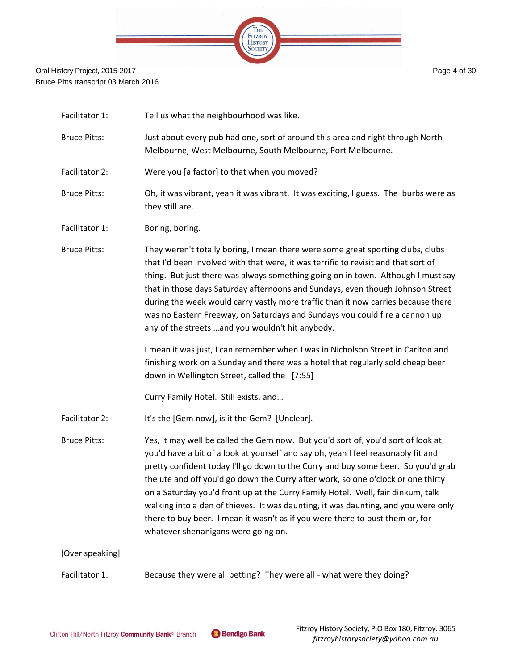

| Facilitator 1:      | Tell us what the neighbourhood was like.                                                                                                                                                                                                                                                                                                                                                                                                                                                                                                                                                                                                         |
|---------------------|--------------------------------------------------------------------------------------------------------------------------------------------------------------------------------------------------------------------------------------------------------------------------------------------------------------------------------------------------------------------------------------------------------------------------------------------------------------------------------------------------------------------------------------------------------------------------------------------------------------------------------------------------|
| <b>Bruce Pitts:</b> | Just about every pub had one, sort of around this area and right through North<br>Melbourne, West Melbourne, South Melbourne, Port Melbourne.                                                                                                                                                                                                                                                                                                                                                                                                                                                                                                    |
| Facilitator 2:      | Were you [a factor] to that when you moved?                                                                                                                                                                                                                                                                                                                                                                                                                                                                                                                                                                                                      |
| <b>Bruce Pitts:</b> | Oh, it was vibrant, yeah it was vibrant. It was exciting, I guess. The 'burbs were as<br>they still are.                                                                                                                                                                                                                                                                                                                                                                                                                                                                                                                                         |
| Facilitator 1:      | Boring, boring.                                                                                                                                                                                                                                                                                                                                                                                                                                                                                                                                                                                                                                  |
| <b>Bruce Pitts:</b> | They weren't totally boring, I mean there were some great sporting clubs, clubs<br>that I'd been involved with that were, it was terrific to revisit and that sort of<br>thing. But just there was always something going on in town. Although I must say<br>that in those days Saturday afternoons and Sundays, even though Johnson Street<br>during the week would carry vastly more traffic than it now carries because there<br>was no Eastern Freeway, on Saturdays and Sundays you could fire a cannon up<br>any of the streets  and you wouldn't hit anybody.                                                                             |
|                     | I mean it was just, I can remember when I was in Nicholson Street in Carlton and<br>finishing work on a Sunday and there was a hotel that regularly sold cheap beer<br>down in Wellington Street, called the [7:55]                                                                                                                                                                                                                                                                                                                                                                                                                              |
|                     | Curry Family Hotel. Still exists, and                                                                                                                                                                                                                                                                                                                                                                                                                                                                                                                                                                                                            |
| Facilitator 2:      | It's the [Gem now], is it the Gem? [Unclear].                                                                                                                                                                                                                                                                                                                                                                                                                                                                                                                                                                                                    |
| <b>Bruce Pitts:</b> | Yes, it may well be called the Gem now. But you'd sort of, you'd sort of look at,<br>you'd have a bit of a look at yourself and say oh, yeah I feel reasonably fit and<br>pretty confident today I'll go down to the Curry and buy some beer. So you'd grab<br>the ute and off you'd go down the Curry after work, so one o'clock or one thirty<br>on a Saturday you'd front up at the Curry Family Hotel. Well, fair dinkum, talk<br>walking into a den of thieves. It was daunting, it was daunting, and you were only<br>there to buy beer. I mean it wasn't as if you were there to bust them or, for<br>whatever shenanigans were going on. |
| [Over speaking]     |                                                                                                                                                                                                                                                                                                                                                                                                                                                                                                                                                                                                                                                  |
| Facilitator 1:      | Because they were all betting? They were all - what were they doing?                                                                                                                                                                                                                                                                                                                                                                                                                                                                                                                                                                             |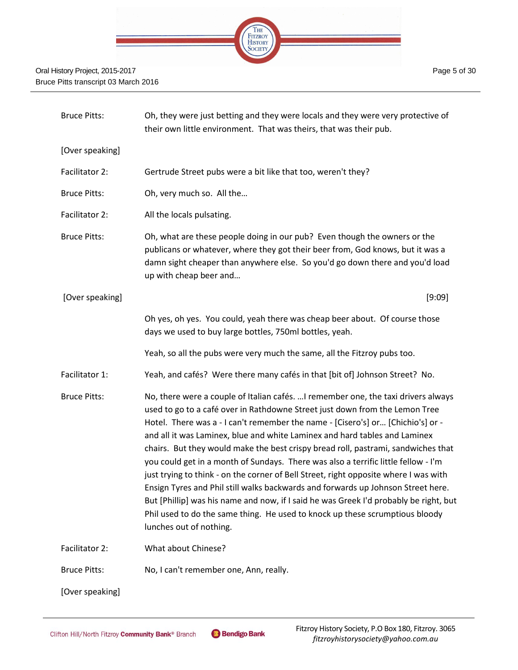

| <b>Bruce Pitts:</b> | Oh, they were just betting and they were locals and they were very protective of<br>their own little environment. That was theirs, that was their pub.                                                                                                                                                                                                                                                                                                                                                                                                                                                                                                                                                                                                                                                                                                                                        |
|---------------------|-----------------------------------------------------------------------------------------------------------------------------------------------------------------------------------------------------------------------------------------------------------------------------------------------------------------------------------------------------------------------------------------------------------------------------------------------------------------------------------------------------------------------------------------------------------------------------------------------------------------------------------------------------------------------------------------------------------------------------------------------------------------------------------------------------------------------------------------------------------------------------------------------|
| [Over speaking]     |                                                                                                                                                                                                                                                                                                                                                                                                                                                                                                                                                                                                                                                                                                                                                                                                                                                                                               |
| Facilitator 2:      | Gertrude Street pubs were a bit like that too, weren't they?                                                                                                                                                                                                                                                                                                                                                                                                                                                                                                                                                                                                                                                                                                                                                                                                                                  |
| <b>Bruce Pitts:</b> | Oh, very much so. All the                                                                                                                                                                                                                                                                                                                                                                                                                                                                                                                                                                                                                                                                                                                                                                                                                                                                     |
| Facilitator 2:      | All the locals pulsating.                                                                                                                                                                                                                                                                                                                                                                                                                                                                                                                                                                                                                                                                                                                                                                                                                                                                     |
| <b>Bruce Pitts:</b> | Oh, what are these people doing in our pub? Even though the owners or the<br>publicans or whatever, where they got their beer from, God knows, but it was a<br>damn sight cheaper than anywhere else. So you'd go down there and you'd load<br>up with cheap beer and                                                                                                                                                                                                                                                                                                                                                                                                                                                                                                                                                                                                                         |
| [Over speaking]     | [9:09]                                                                                                                                                                                                                                                                                                                                                                                                                                                                                                                                                                                                                                                                                                                                                                                                                                                                                        |
|                     | Oh yes, oh yes. You could, yeah there was cheap beer about. Of course those<br>days we used to buy large bottles, 750ml bottles, yeah.                                                                                                                                                                                                                                                                                                                                                                                                                                                                                                                                                                                                                                                                                                                                                        |
|                     | Yeah, so all the pubs were very much the same, all the Fitzroy pubs too.                                                                                                                                                                                                                                                                                                                                                                                                                                                                                                                                                                                                                                                                                                                                                                                                                      |
| Facilitator 1:      | Yeah, and cafés? Were there many cafés in that [bit of] Johnson Street? No.                                                                                                                                                                                                                                                                                                                                                                                                                                                                                                                                                                                                                                                                                                                                                                                                                   |
| <b>Bruce Pitts:</b> | No, there were a couple of Italian cafés.  I remember one, the taxi drivers always<br>used to go to a café over in Rathdowne Street just down from the Lemon Tree<br>Hotel. There was a - I can't remember the name - [Cisero's] or [Chichio's] or -<br>and all it was Laminex, blue and white Laminex and hard tables and Laminex<br>chairs. But they would make the best crispy bread roll, pastrami, sandwiches that<br>you could get in a month of Sundays. There was also a terrific little fellow - I'm<br>just trying to think - on the corner of Bell Street, right opposite where I was with<br>Ensign Tyres and Phil still walks backwards and forwards up Johnson Street here.<br>But [Phillip] was his name and now, if I said he was Greek I'd probably be right, but<br>Phil used to do the same thing. He used to knock up these scrumptious bloody<br>lunches out of nothing. |
| Facilitator 2:      | What about Chinese?                                                                                                                                                                                                                                                                                                                                                                                                                                                                                                                                                                                                                                                                                                                                                                                                                                                                           |
| <b>Bruce Pitts:</b> | No, I can't remember one, Ann, really.                                                                                                                                                                                                                                                                                                                                                                                                                                                                                                                                                                                                                                                                                                                                                                                                                                                        |
| [Over speaking]     |                                                                                                                                                                                                                                                                                                                                                                                                                                                                                                                                                                                                                                                                                                                                                                                                                                                                                               |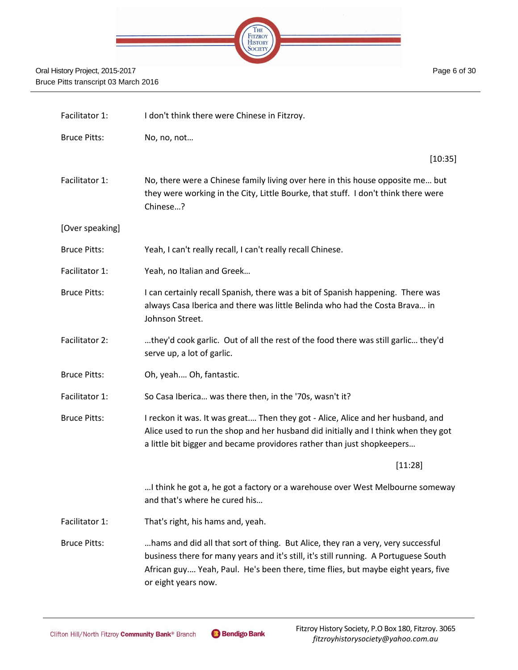

Facilitator 1: I don't think there were Chinese in Fitzroy. Bruce Pitts: No, no, not… [10:35] Facilitator 1: No, there were a Chinese family living over here in this house opposite me... but they were working in the City, Little Bourke, that stuff. I don't think there were Chinese…? [Over speaking] Bruce Pitts: Yeah, I can't really recall, I can't really recall Chinese. Facilitator 1: Yeah, no Italian and Greek... Bruce Pitts: I can certainly recall Spanish, there was a bit of Spanish happening. There was always Casa Iberica and there was little Belinda who had the Costa Brava… in Johnson Street. Facilitator 2: …they'd cook garlic. Out of all the rest of the food there was still garlic… they'd serve up, a lot of garlic. Bruce Pitts: Oh, yeah.… Oh, fantastic. Facilitator 1: So Casa Iberica... was there then, in the '70s, wasn't it? Bruce Pitts: I reckon it was. It was great.... Then they got - Alice, Alice and her husband, and Alice used to run the shop and her husband did initially and I think when they got a little bit bigger and became providores rather than just shopkeepers… [11:28] …I think he got a, he got a factory or a warehouse over West Melbourne someway and that's where he cured his… Facilitator 1: That's right, his hams and, yeah. Bruce Pitts: …hams and did all that sort of thing. But Alice, they ran a very, very successful business there for many years and it's still, it's still running. A Portuguese South African guy.… Yeah, Paul. He's been there, time flies, but maybe eight years, five or eight years now.

Page 6 of 30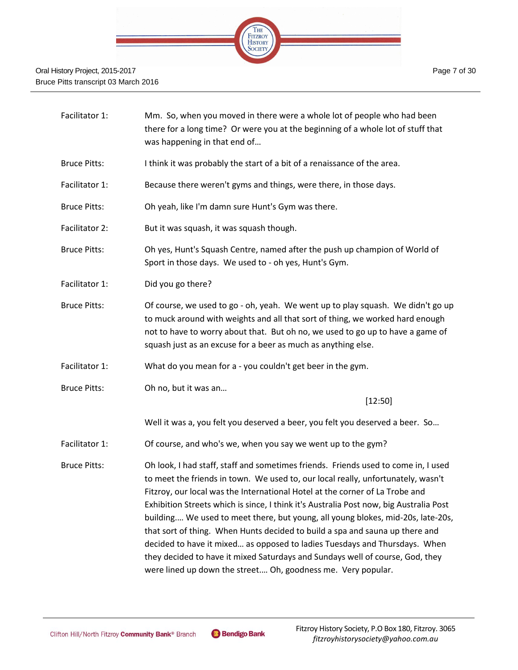

- Facilitator 1: Mm. So, when you moved in there were a whole lot of people who had been there for a long time? Or were you at the beginning of a whole lot of stuff that was happening in that end of…
- Bruce Pitts: I think it was probably the start of a bit of a renaissance of the area.
- Facilitator 1: Because there weren't gyms and things, were there, in those days.
- Bruce Pitts: Oh yeah, like I'm damn sure Hunt's Gym was there.
- Facilitator 2: But it was squash, it was squash though.
- Bruce Pitts: Oh yes, Hunt's Squash Centre, named after the push up champion of World of Sport in those days. We used to - oh yes, Hunt's Gym.
- Facilitator 1: Did you go there?
- Bruce Pitts: Of course, we used to go oh, yeah. We went up to play squash. We didn't go up to muck around with weights and all that sort of thing, we worked hard enough not to have to worry about that. But oh no, we used to go up to have a game of squash just as an excuse for a beer as much as anything else.
- Facilitator 1: What do you mean for a you couldn't get beer in the gym.
- Bruce Pitts: Oh no, but it was an…

[12:50]

Well it was a, you felt you deserved a beer, you felt you deserved a beer. So…

- Facilitator 1: Of course, and who's we, when you say we went up to the gym?
- Bruce Pitts: Oh look, I had staff, staff and sometimes friends. Friends used to come in, I used to meet the friends in town. We used to, our local really, unfortunately, wasn't Fitzroy, our local was the International Hotel at the corner of La Trobe and Exhibition Streets which is since, I think it's Australia Post now, big Australia Post building.… We used to meet there, but young, all young blokes, mid-20s, late-20s, that sort of thing. When Hunts decided to build a spa and sauna up there and decided to have it mixed… as opposed to ladies Tuesdays and Thursdays. When they decided to have it mixed Saturdays and Sundays well of course, God, they were lined up down the street.… Oh, goodness me. Very popular.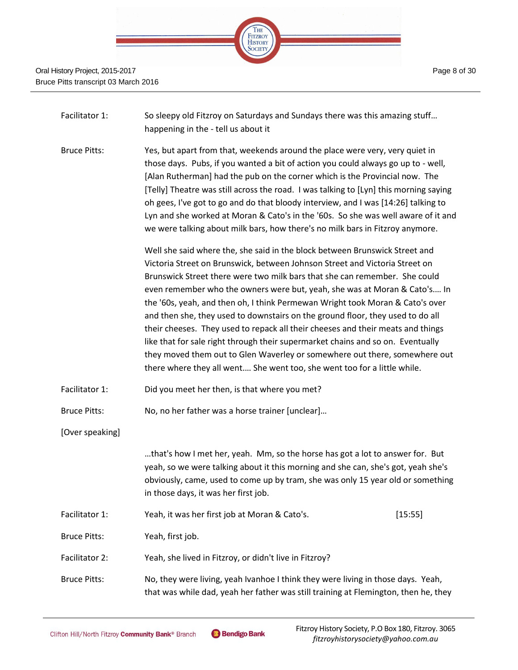

- Facilitator 1: So sleepy old Fitzroy on Saturdays and Sundays there was this amazing stuff... happening in the - tell us about it
- Bruce Pitts: Yes, but apart from that, weekends around the place were very, very quiet in those days. Pubs, if you wanted a bit of action you could always go up to - well, [Alan Rutherman] had the pub on the corner which is the Provincial now. The [Telly] Theatre was still across the road. I was talking to [Lyn] this morning saying oh gees, I've got to go and do that bloody interview, and I was [14:26] talking to Lyn and she worked at Moran & Cato's in the '60s. So she was well aware of it and we were talking about milk bars, how there's no milk bars in Fitzroy anymore.

Well she said where the, she said in the block between Brunswick Street and Victoria Street on Brunswick, between Johnson Street and Victoria Street on Brunswick Street there were two milk bars that she can remember. She could even remember who the owners were but, yeah, she was at Moran & Cato's.… In the '60s, yeah, and then oh, I think Permewan Wright took Moran & Cato's over and then she, they used to downstairs on the ground floor, they used to do all their cheeses. They used to repack all their cheeses and their meats and things like that for sale right through their supermarket chains and so on. Eventually they moved them out to Glen Waverley or somewhere out there, somewhere out there where they all went.… She went too, she went too for a little while.

Facilitator 1: Did you meet her then, is that where you met?

Bruce Pitts: No, no her father was a horse trainer [unclear]…

[Over speaking]

…that's how I met her, yeah. Mm, so the horse has got a lot to answer for. But yeah, so we were talking about it this morning and she can, she's got, yeah she's obviously, came, used to come up by tram, she was only 15 year old or something in those days, it was her first job.

Facilitator 1: Yeah, it was her first job at Moran & Cato's. [15:55]

Bruce Pitts: Yeah, first job.

- Facilitator 2: Yeah, she lived in Fitzroy, or didn't live in Fitzroy?
- Bruce Pitts: No, they were living, yeah Ivanhoe I think they were living in those days. Yeah, that was while dad, yeah her father was still training at Flemington, then he, they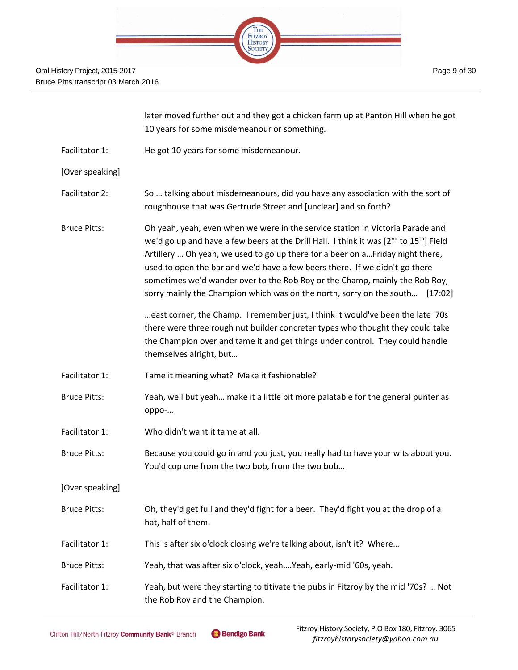

|                     | later moved further out and they got a chicken farm up at Panton Hill when he got<br>10 years for some misdemeanour or something.                                                                                                                                                                                                                                                                                                                                                                                 |
|---------------------|-------------------------------------------------------------------------------------------------------------------------------------------------------------------------------------------------------------------------------------------------------------------------------------------------------------------------------------------------------------------------------------------------------------------------------------------------------------------------------------------------------------------|
| Facilitator 1:      | He got 10 years for some misdemeanour.                                                                                                                                                                                                                                                                                                                                                                                                                                                                            |
| [Over speaking]     |                                                                                                                                                                                                                                                                                                                                                                                                                                                                                                                   |
| Facilitator 2:      | So  talking about misdemeanours, did you have any association with the sort of<br>roughhouse that was Gertrude Street and [unclear] and so forth?                                                                                                                                                                                                                                                                                                                                                                 |
| <b>Bruce Pitts:</b> | Oh yeah, yeah, even when we were in the service station in Victoria Parade and<br>we'd go up and have a few beers at the Drill Hall. I think it was $[2^{nd}$ to $15^{th}]$ Field<br>Artillery  Oh yeah, we used to go up there for a beer on a Friday night there,<br>used to open the bar and we'd have a few beers there. If we didn't go there<br>sometimes we'd wander over to the Rob Roy or the Champ, mainly the Rob Roy,<br>sorry mainly the Champion which was on the north, sorry on the south [17:02] |
|                     | east corner, the Champ. I remember just, I think it would've been the late '70s<br>there were three rough nut builder concreter types who thought they could take<br>the Champion over and tame it and get things under control. They could handle<br>themselves alright, but                                                                                                                                                                                                                                     |
| Facilitator 1:      | Tame it meaning what? Make it fashionable?                                                                                                                                                                                                                                                                                                                                                                                                                                                                        |
| <b>Bruce Pitts:</b> | Yeah, well but yeah make it a little bit more palatable for the general punter as<br>oppo-                                                                                                                                                                                                                                                                                                                                                                                                                        |
| Facilitator 1:      | Who didn't want it tame at all.                                                                                                                                                                                                                                                                                                                                                                                                                                                                                   |
| <b>Bruce Pitts:</b> | Because you could go in and you just, you really had to have your wits about you.<br>You'd cop one from the two bob, from the two bob                                                                                                                                                                                                                                                                                                                                                                             |
| [Over speaking]     |                                                                                                                                                                                                                                                                                                                                                                                                                                                                                                                   |
| <b>Bruce Pitts:</b> | Oh, they'd get full and they'd fight for a beer. They'd fight you at the drop of a<br>hat, half of them.                                                                                                                                                                                                                                                                                                                                                                                                          |
| Facilitator 1:      | This is after six o'clock closing we're talking about, isn't it? Where                                                                                                                                                                                                                                                                                                                                                                                                                                            |
| <b>Bruce Pitts:</b> | Yeah, that was after six o'clock, yeahYeah, early-mid '60s, yeah.                                                                                                                                                                                                                                                                                                                                                                                                                                                 |
| Facilitator 1:      | Yeah, but were they starting to titivate the pubs in Fitzroy by the mid '70s?  Not<br>the Rob Roy and the Champion.                                                                                                                                                                                                                                                                                                                                                                                               |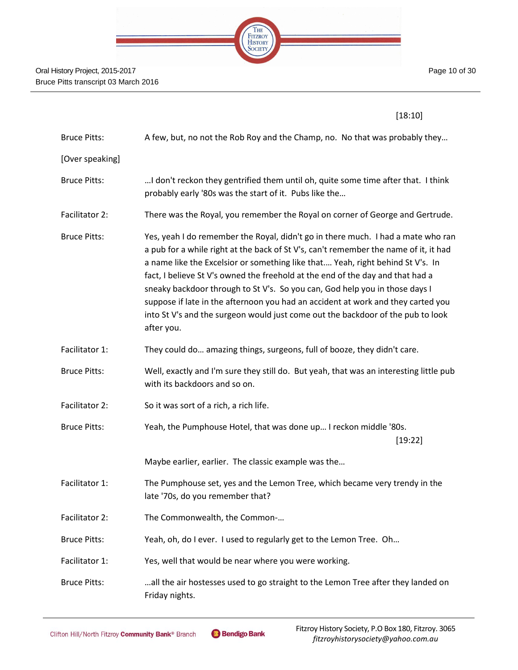

| .,<br>. . |
|-----------|
|-----------|

| <b>Bruce Pitts:</b> | A few, but, no not the Rob Roy and the Champ, no. No that was probably they                                                                                                                                                                                                                                                                                                                                                                                                                                                                                                                                      |
|---------------------|------------------------------------------------------------------------------------------------------------------------------------------------------------------------------------------------------------------------------------------------------------------------------------------------------------------------------------------------------------------------------------------------------------------------------------------------------------------------------------------------------------------------------------------------------------------------------------------------------------------|
| [Over speaking]     |                                                                                                                                                                                                                                                                                                                                                                                                                                                                                                                                                                                                                  |
| <b>Bruce Pitts:</b> | I don't reckon they gentrified them until oh, quite some time after that. I think<br>probably early '80s was the start of it. Pubs like the                                                                                                                                                                                                                                                                                                                                                                                                                                                                      |
| Facilitator 2:      | There was the Royal, you remember the Royal on corner of George and Gertrude.                                                                                                                                                                                                                                                                                                                                                                                                                                                                                                                                    |
| <b>Bruce Pitts:</b> | Yes, yeah I do remember the Royal, didn't go in there much. I had a mate who ran<br>a pub for a while right at the back of St V's, can't remember the name of it, it had<br>a name like the Excelsior or something like that Yeah, right behind St V's. In<br>fact, I believe St V's owned the freehold at the end of the day and that had a<br>sneaky backdoor through to St V's. So you can, God help you in those days I<br>suppose if late in the afternoon you had an accident at work and they carted you<br>into St V's and the surgeon would just come out the backdoor of the pub to look<br>after you. |
| Facilitator 1:      | They could do amazing things, surgeons, full of booze, they didn't care.                                                                                                                                                                                                                                                                                                                                                                                                                                                                                                                                         |
| <b>Bruce Pitts:</b> | Well, exactly and I'm sure they still do. But yeah, that was an interesting little pub<br>with its backdoors and so on.                                                                                                                                                                                                                                                                                                                                                                                                                                                                                          |
| Facilitator 2:      | So it was sort of a rich, a rich life.                                                                                                                                                                                                                                                                                                                                                                                                                                                                                                                                                                           |
| <b>Bruce Pitts:</b> | Yeah, the Pumphouse Hotel, that was done up I reckon middle '80s.<br>[19:22]                                                                                                                                                                                                                                                                                                                                                                                                                                                                                                                                     |
|                     | Maybe earlier, earlier. The classic example was the                                                                                                                                                                                                                                                                                                                                                                                                                                                                                                                                                              |
| Facilitator 1:      | The Pumphouse set, yes and the Lemon Tree, which became very trendy in the<br>late '70s, do you remember that?                                                                                                                                                                                                                                                                                                                                                                                                                                                                                                   |
| Facilitator 2:      | The Commonwealth, the Common-                                                                                                                                                                                                                                                                                                                                                                                                                                                                                                                                                                                    |
| <b>Bruce Pitts:</b> | Yeah, oh, do I ever. I used to regularly get to the Lemon Tree. Oh                                                                                                                                                                                                                                                                                                                                                                                                                                                                                                                                               |
| Facilitator 1:      | Yes, well that would be near where you were working.                                                                                                                                                                                                                                                                                                                                                                                                                                                                                                                                                             |
| <b>Bruce Pitts:</b> | all the air hostesses used to go straight to the Lemon Tree after they landed on<br>Friday nights.                                                                                                                                                                                                                                                                                                                                                                                                                                                                                                               |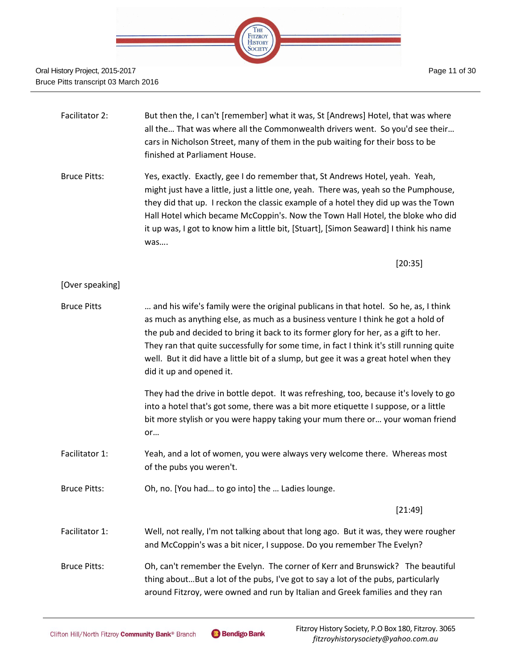

Facilitator 2: But then the, I can't [remember] what it was, St [Andrews] Hotel, that was where all the… That was where all the Commonwealth drivers went. So you'd see their… cars in Nicholson Street, many of them in the pub waiting for their boss to be finished at Parliament House. Bruce Pitts: Yes, exactly. Exactly, gee I do remember that, St Andrews Hotel, yeah. Yeah, might just have a little, just a little one, yeah. There was, yeah so the Pumphouse, they did that up. I reckon the classic example of a hotel they did up was the Town Hall Hotel which became McCoppin's. Now the Town Hall Hotel, the bloke who did it up was, I got to know him a little bit, [Stuart], [Simon Seaward] I think his name was…. [20:35]

#### [Over speaking]

Bruce Pitts … and his wife's family were the original publicans in that hotel. So he, as, I think as much as anything else, as much as a business venture I think he got a hold of the pub and decided to bring it back to its former glory for her, as a gift to her. They ran that quite successfully for some time, in fact I think it's still running quite well. But it did have a little bit of a slump, but gee it was a great hotel when they did it up and opened it.

> They had the drive in bottle depot. It was refreshing, too, because it's lovely to go into a hotel that's got some, there was a bit more etiquette I suppose, or a little bit more stylish or you were happy taking your mum there or… your woman friend or…

- Facilitator 1: Yeah, and a lot of women, you were always very welcome there. Whereas most of the pubs you weren't.
- Bruce Pitts: Oh, no. [You had… to go into] the … Ladies lounge.

[21:49]

Facilitator 1: Well, not really, I'm not talking about that long ago. But it was, they were rougher and McCoppin's was a bit nicer, I suppose. Do you remember The Evelyn?

Bruce Pitts: Oh, can't remember the Evelyn. The corner of Kerr and Brunswick? The beautiful thing about…But a lot of the pubs, I've got to say a lot of the pubs, particularly around Fitzroy, were owned and run by Italian and Greek families and they ran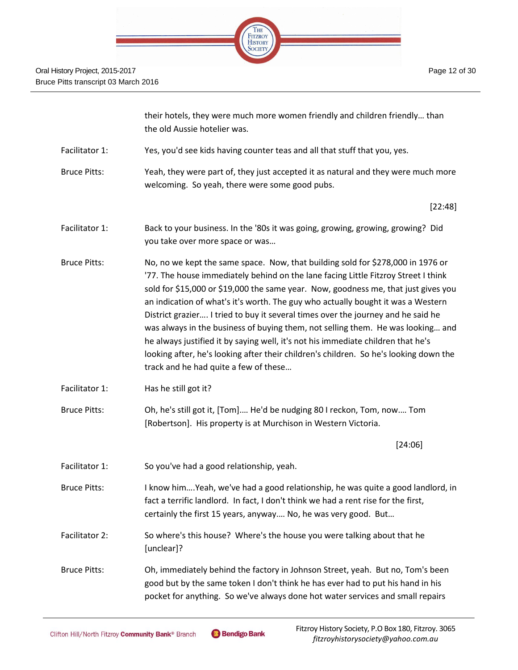

|                     | their hotels, they were much more women friendly and children friendly than<br>the old Aussie hotelier was.                                                                                                                                                                                                                                                                                                                                                                                                                                                                                                                                                                                                                                  |
|---------------------|----------------------------------------------------------------------------------------------------------------------------------------------------------------------------------------------------------------------------------------------------------------------------------------------------------------------------------------------------------------------------------------------------------------------------------------------------------------------------------------------------------------------------------------------------------------------------------------------------------------------------------------------------------------------------------------------------------------------------------------------|
| Facilitator 1:      | Yes, you'd see kids having counter teas and all that stuff that you, yes.                                                                                                                                                                                                                                                                                                                                                                                                                                                                                                                                                                                                                                                                    |
| <b>Bruce Pitts:</b> | Yeah, they were part of, they just accepted it as natural and they were much more<br>welcoming. So yeah, there were some good pubs.                                                                                                                                                                                                                                                                                                                                                                                                                                                                                                                                                                                                          |
|                     | [22:48]                                                                                                                                                                                                                                                                                                                                                                                                                                                                                                                                                                                                                                                                                                                                      |
| Facilitator 1:      | Back to your business. In the '80s it was going, growing, growing, growing? Did<br>you take over more space or was                                                                                                                                                                                                                                                                                                                                                                                                                                                                                                                                                                                                                           |
| <b>Bruce Pitts:</b> | No, no we kept the same space. Now, that building sold for \$278,000 in 1976 or<br>'77. The house immediately behind on the lane facing Little Fitzroy Street I think<br>sold for \$15,000 or \$19,000 the same year. Now, goodness me, that just gives you<br>an indication of what's it's worth. The guy who actually bought it was a Western<br>District grazier I tried to buy it several times over the journey and he said he<br>was always in the business of buying them, not selling them. He was looking and<br>he always justified it by saying well, it's not his immediate children that he's<br>looking after, he's looking after their children's children. So he's looking down the<br>track and he had quite a few of these |
| Facilitator 1:      | Has he still got it?                                                                                                                                                                                                                                                                                                                                                                                                                                                                                                                                                                                                                                                                                                                         |
| <b>Bruce Pitts:</b> | Oh, he's still got it, [Tom] He'd be nudging 80 I reckon, Tom, now Tom<br>[Robertson]. His property is at Murchison in Western Victoria.                                                                                                                                                                                                                                                                                                                                                                                                                                                                                                                                                                                                     |
|                     | [24:06]                                                                                                                                                                                                                                                                                                                                                                                                                                                                                                                                                                                                                                                                                                                                      |
| Facilitator 1:      | So you've had a good relationship, yeah.                                                                                                                                                                                                                                                                                                                                                                                                                                                                                                                                                                                                                                                                                                     |
| <b>Bruce Pitts:</b> | I know himYeah, we've had a good relationship, he was quite a good landlord, in<br>fact a terrific landlord. In fact, I don't think we had a rent rise for the first,<br>certainly the first 15 years, anyway No, he was very good. But                                                                                                                                                                                                                                                                                                                                                                                                                                                                                                      |
| Facilitator 2:      | So where's this house? Where's the house you were talking about that he<br>[unclear]?                                                                                                                                                                                                                                                                                                                                                                                                                                                                                                                                                                                                                                                        |
| <b>Bruce Pitts:</b> | Oh, immediately behind the factory in Johnson Street, yeah. But no, Tom's been<br>good but by the same token I don't think he has ever had to put his hand in his<br>pocket for anything. So we've always done hot water services and small repairs                                                                                                                                                                                                                                                                                                                                                                                                                                                                                          |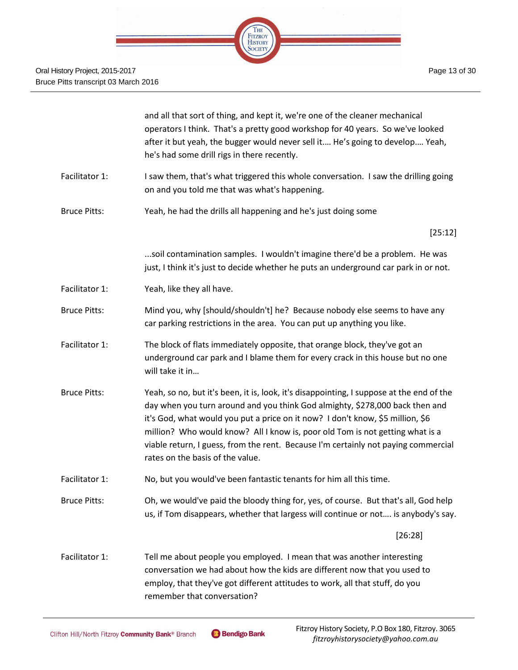|                     | and all that sort of thing, and kept it, we're one of the cleaner mechanical<br>operators I think. That's a pretty good workshop for 40 years. So we've looked<br>after it but yeah, the bugger would never sell it He's going to develop Yeah,<br>he's had some drill rigs in there recently.                                                                                                                                                                        |
|---------------------|-----------------------------------------------------------------------------------------------------------------------------------------------------------------------------------------------------------------------------------------------------------------------------------------------------------------------------------------------------------------------------------------------------------------------------------------------------------------------|
| Facilitator 1:      | I saw them, that's what triggered this whole conversation. I saw the drilling going<br>on and you told me that was what's happening.                                                                                                                                                                                                                                                                                                                                  |
| <b>Bruce Pitts:</b> | Yeah, he had the drills all happening and he's just doing some                                                                                                                                                                                                                                                                                                                                                                                                        |
|                     | [25:12]                                                                                                                                                                                                                                                                                                                                                                                                                                                               |
|                     | soil contamination samples. I wouldn't imagine there'd be a problem. He was<br>just, I think it's just to decide whether he puts an underground car park in or not.                                                                                                                                                                                                                                                                                                   |
| Facilitator 1:      | Yeah, like they all have.                                                                                                                                                                                                                                                                                                                                                                                                                                             |
| <b>Bruce Pitts:</b> | Mind you, why [should/shouldn't] he? Because nobody else seems to have any<br>car parking restrictions in the area. You can put up anything you like.                                                                                                                                                                                                                                                                                                                 |
| Facilitator 1:      | The block of flats immediately opposite, that orange block, they've got an<br>underground car park and I blame them for every crack in this house but no one<br>will take it in                                                                                                                                                                                                                                                                                       |
| <b>Bruce Pitts:</b> | Yeah, so no, but it's been, it is, look, it's disappointing, I suppose at the end of the<br>day when you turn around and you think God almighty, \$278,000 back then and<br>it's God, what would you put a price on it now? I don't know, \$5 million, \$6<br>million? Who would know? All I know is, poor old Tom is not getting what is a<br>viable return, I guess, from the rent. Because I'm certainly not paying commercial<br>rates on the basis of the value. |
| Facilitator 1:      | No, but you would've been fantastic tenants for him all this time.                                                                                                                                                                                                                                                                                                                                                                                                    |
| <b>Bruce Pitts:</b> | Oh, we would've paid the bloody thing for, yes, of course. But that's all, God help<br>us, if Tom disappears, whether that largess will continue or not is anybody's say.                                                                                                                                                                                                                                                                                             |
|                     | [26:28]                                                                                                                                                                                                                                                                                                                                                                                                                                                               |
| Facilitator 1:      | Tell me about people you employed. I mean that was another interesting<br>conversation we had about how the kids are different now that you used to<br>employ, that they've got different attitudes to work, all that stuff, do you<br>remember that conversation?                                                                                                                                                                                                    |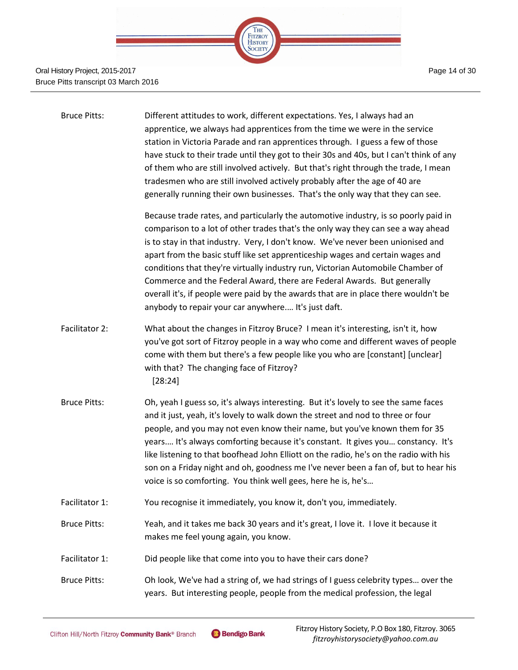

| <b>Bruce Pitts:</b> | Different attitudes to work, different expectations. Yes, I always had an<br>apprentice, we always had apprentices from the time we were in the service<br>station in Victoria Parade and ran apprentices through. I guess a few of those<br>have stuck to their trade until they got to their 30s and 40s, but I can't think of any<br>of them who are still involved actively. But that's right through the trade, I mean<br>tradesmen who are still involved actively probably after the age of 40 are<br>generally running their own businesses. That's the only way that they can see.                                                              |
|---------------------|----------------------------------------------------------------------------------------------------------------------------------------------------------------------------------------------------------------------------------------------------------------------------------------------------------------------------------------------------------------------------------------------------------------------------------------------------------------------------------------------------------------------------------------------------------------------------------------------------------------------------------------------------------|
|                     | Because trade rates, and particularly the automotive industry, is so poorly paid in<br>comparison to a lot of other trades that's the only way they can see a way ahead<br>is to stay in that industry. Very, I don't know. We've never been unionised and<br>apart from the basic stuff like set apprenticeship wages and certain wages and<br>conditions that they're virtually industry run, Victorian Automobile Chamber of<br>Commerce and the Federal Award, there are Federal Awards. But generally<br>overall it's, if people were paid by the awards that are in place there wouldn't be<br>anybody to repair your car anywhere It's just daft. |
| Facilitator 2:      | What about the changes in Fitzroy Bruce? I mean it's interesting, isn't it, how<br>you've got sort of Fitzroy people in a way who come and different waves of people<br>come with them but there's a few people like you who are [constant] [unclear]<br>with that? The changing face of Fitzroy?<br>[28:24]                                                                                                                                                                                                                                                                                                                                             |
| <b>Bruce Pitts:</b> | Oh, yeah I guess so, it's always interesting. But it's lovely to see the same faces<br>and it just, yeah, it's lovely to walk down the street and nod to three or four<br>people, and you may not even know their name, but you've known them for 35<br>years It's always comforting because it's constant. It gives you constancy. It's<br>like listening to that boofhead John Elliott on the radio, he's on the radio with his<br>son on a Friday night and oh, goodness me I've never been a fan of, but to hear his<br>voice is so comforting. You think well gees, here he is, he's                                                                |
| Facilitator 1:      | You recognise it immediately, you know it, don't you, immediately.                                                                                                                                                                                                                                                                                                                                                                                                                                                                                                                                                                                       |
| <b>Bruce Pitts:</b> | Yeah, and it takes me back 30 years and it's great, I love it. I love it because it<br>makes me feel young again, you know.                                                                                                                                                                                                                                                                                                                                                                                                                                                                                                                              |
| Facilitator 1:      | Did people like that come into you to have their cars done?                                                                                                                                                                                                                                                                                                                                                                                                                                                                                                                                                                                              |
| <b>Bruce Pitts:</b> | Oh look, We've had a string of, we had strings of I guess celebrity types over the<br>years. But interesting people, people from the medical profession, the legal                                                                                                                                                                                                                                                                                                                                                                                                                                                                                       |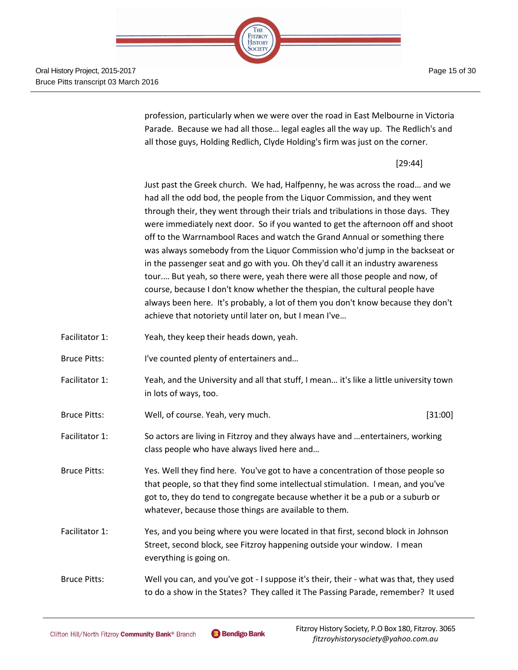Page 15 of 30



Oral History Project, 2015-2017 Bruce Pitts transcript 03 March 2016

> profession, particularly when we were over the road in East Melbourne in Victoria Parade. Because we had all those… legal eagles all the way up. The Redlich's and all those guys, Holding Redlich, Clyde Holding's firm was just on the corner.

> > [29:44]

Just past the Greek church. We had, Halfpenny, he was across the road… and we had all the odd bod, the people from the Liquor Commission, and they went through their, they went through their trials and tribulations in those days. They were immediately next door. So if you wanted to get the afternoon off and shoot off to the Warrnambool Races and watch the Grand Annual or something there was always somebody from the Liquor Commission who'd jump in the backseat or in the passenger seat and go with you. Oh they'd call it an industry awareness tour.… But yeah, so there were, yeah there were all those people and now, of course, because I don't know whether the thespian, the cultural people have always been here. It's probably, a lot of them you don't know because they don't achieve that notoriety until later on, but I mean I've…

- Facilitator 1: Yeah, they keep their heads down, yeah.
- Bruce Pitts: I've counted plenty of entertainers and...
- Facilitator 1: Yeah, and the University and all that stuff, I mean... it's like a little university town in lots of ways, too.
- Bruce Pitts: Well, of course. Yeah, very much. [31:00]
- Facilitator 1: So actors are living in Fitzroy and they always have and …entertainers, working class people who have always lived here and…
- Bruce Pitts: Yes. Well they find here. You've got to have a concentration of those people so that people, so that they find some intellectual stimulation. I mean, and you've got to, they do tend to congregate because whether it be a pub or a suburb or whatever, because those things are available to them.
- Facilitator 1: Yes, and you being where you were located in that first, second block in Johnson Street, second block, see Fitzroy happening outside your window. I mean everything is going on.
- Bruce Pitts: Well you can, and you've got I suppose it's their, their what was that, they used to do a show in the States? They called it The Passing Parade, remember? It used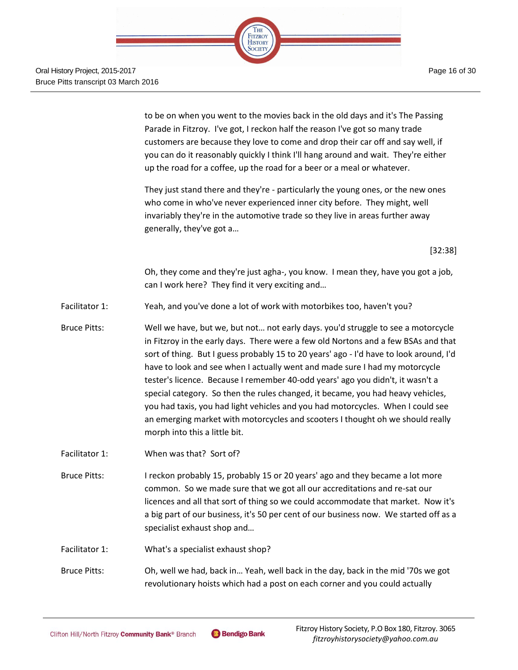

> to be on when you went to the movies back in the old days and it's The Passing Parade in Fitzroy. I've got, I reckon half the reason I've got so many trade customers are because they love to come and drop their car off and say well, if you can do it reasonably quickly I think I'll hang around and wait. They're either up the road for a coffee, up the road for a beer or a meal or whatever.

> They just stand there and they're - particularly the young ones, or the new ones who come in who've never experienced inner city before. They might, well invariably they're in the automotive trade so they live in areas further away generally, they've got a…

> > [32:38]

Oh, they come and they're just agha-, you know. I mean they, have you got a job, can I work here? They find it very exciting and…

- Facilitator 1: Yeah, and you've done a lot of work with motorbikes too, haven't you?
- Bruce Pitts: Well we have, but we, but not… not early days. you'd struggle to see a motorcycle in Fitzroy in the early days. There were a few old Nortons and a few BSAs and that sort of thing. But I guess probably 15 to 20 years' ago - I'd have to look around, I'd have to look and see when I actually went and made sure I had my motorcycle tester's licence. Because I remember 40-odd years' ago you didn't, it wasn't a special category. So then the rules changed, it became, you had heavy vehicles, you had taxis, you had light vehicles and you had motorcycles. When I could see an emerging market with motorcycles and scooters I thought oh we should really morph into this a little bit.
- Facilitator 1: When was that? Sort of?
- Bruce Pitts: I reckon probably 15, probably 15 or 20 years' ago and they became a lot more common. So we made sure that we got all our accreditations and re-sat our licences and all that sort of thing so we could accommodate that market. Now it's a big part of our business, it's 50 per cent of our business now. We started off as a specialist exhaust shop and…
- Facilitator 1: What's a specialist exhaust shop?

Bruce Pitts: Oh, well we had, back in… Yeah, well back in the day, back in the mid '70s we got revolutionary hoists which had a post on each corner and you could actually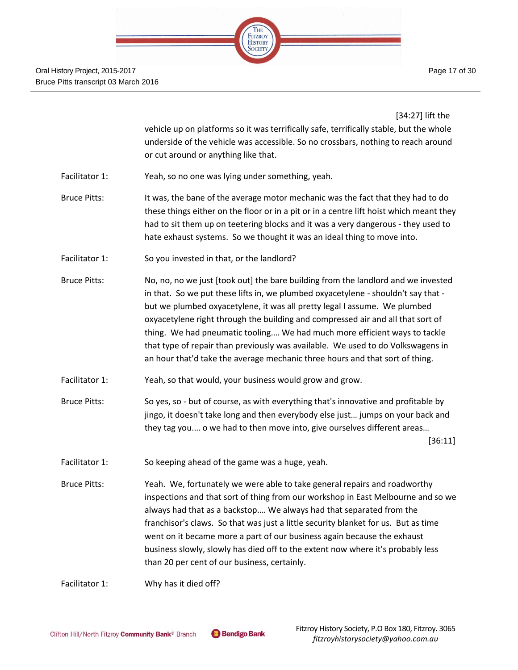

Page 17 of 30

[34:27] lift the

vehicle up on platforms so it was terrifically safe, terrifically stable, but the whole underside of the vehicle was accessible. So no crossbars, nothing to reach around or cut around or anything like that.

- Facilitator 1: Yeah, so no one was lying under something, yeah.
- Bruce Pitts: It was, the bane of the average motor mechanic was the fact that they had to do these things either on the floor or in a pit or in a centre lift hoist which meant they had to sit them up on teetering blocks and it was a very dangerous - they used to hate exhaust systems. So we thought it was an ideal thing to move into.
- Facilitator 1: So you invested in that, or the landlord?
- Bruce Pitts: No, no, no we just [took out] the bare building from the landlord and we invested in that. So we put these lifts in, we plumbed oxyacetylene - shouldn't say that but we plumbed oxyacetylene, it was all pretty legal I assume. We plumbed oxyacetylene right through the building and compressed air and all that sort of thing. We had pneumatic tooling.… We had much more efficient ways to tackle that type of repair than previously was available. We used to do Volkswagens in an hour that'd take the average mechanic three hours and that sort of thing.
- Facilitator 1: Yeah, so that would, your business would grow and grow.
- Bruce Pitts: So yes, so but of course, as with everything that's innovative and profitable by jingo, it doesn't take long and then everybody else just… jumps on your back and they tag you.… o we had to then move into, give ourselves different areas…

[36:11]

- Facilitator 1: So keeping ahead of the game was a huge, yeah.
- Bruce Pitts: Yeah. We, fortunately we were able to take general repairs and roadworthy inspections and that sort of thing from our workshop in East Melbourne and so we always had that as a backstop.… We always had that separated from the franchisor's claws. So that was just a little security blanket for us. But as time went on it became more a part of our business again because the exhaust business slowly, slowly has died off to the extent now where it's probably less than 20 per cent of our business, certainly.

Facilitator 1: Why has it died off?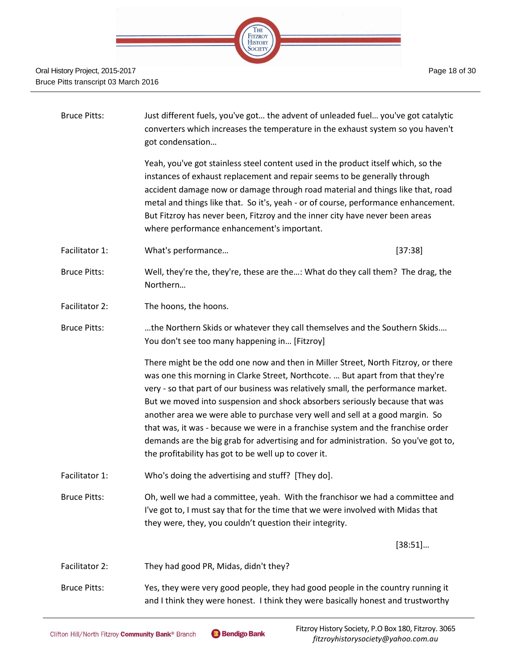

| <b>Bruce Pitts:</b> | Just different fuels, you've got the advent of unleaded fuel you've got catalytic<br>converters which increases the temperature in the exhaust system so you haven't<br>got condensation                                                                                                                                                                                                                                                                                                                                                                                                                                                                   |
|---------------------|------------------------------------------------------------------------------------------------------------------------------------------------------------------------------------------------------------------------------------------------------------------------------------------------------------------------------------------------------------------------------------------------------------------------------------------------------------------------------------------------------------------------------------------------------------------------------------------------------------------------------------------------------------|
|                     | Yeah, you've got stainless steel content used in the product itself which, so the<br>instances of exhaust replacement and repair seems to be generally through<br>accident damage now or damage through road material and things like that, road<br>metal and things like that. So it's, yeah - or of course, performance enhancement.<br>But Fitzroy has never been, Fitzroy and the inner city have never been areas<br>where performance enhancement's important.                                                                                                                                                                                       |
| Facilitator 1:      | What's performance<br>[37:38]                                                                                                                                                                                                                                                                                                                                                                                                                                                                                                                                                                                                                              |
| <b>Bruce Pitts:</b> | Well, they're the, they're, these are the: What do they call them? The drag, the<br>Northern                                                                                                                                                                                                                                                                                                                                                                                                                                                                                                                                                               |
| Facilitator 2:      | The hoons, the hoons.                                                                                                                                                                                                                                                                                                                                                                                                                                                                                                                                                                                                                                      |
| <b>Bruce Pitts:</b> | the Northern Skids or whatever they call themselves and the Southern Skids<br>You don't see too many happening in [Fitzroy]                                                                                                                                                                                                                                                                                                                                                                                                                                                                                                                                |
|                     | There might be the odd one now and then in Miller Street, North Fitzroy, or there<br>was one this morning in Clarke Street, Northcote.  But apart from that they're<br>very - so that part of our business was relatively small, the performance market.<br>But we moved into suspension and shock absorbers seriously because that was<br>another area we were able to purchase very well and sell at a good margin. So<br>that was, it was - because we were in a franchise system and the franchise order<br>demands are the big grab for advertising and for administration. So you've got to,<br>the profitability has got to be well up to cover it. |
| Facilitator 1:      | Who's doing the advertising and stuff? [They do].                                                                                                                                                                                                                                                                                                                                                                                                                                                                                                                                                                                                          |
| <b>Bruce Pitts:</b> | Oh, well we had a committee, yeah. With the franchisor we had a committee and<br>I've got to, I must say that for the time that we were involved with Midas that<br>they were, they, you couldn't question their integrity.                                                                                                                                                                                                                                                                                                                                                                                                                                |
|                     | [38:51]                                                                                                                                                                                                                                                                                                                                                                                                                                                                                                                                                                                                                                                    |
| Facilitator 2:      | They had good PR, Midas, didn't they?                                                                                                                                                                                                                                                                                                                                                                                                                                                                                                                                                                                                                      |
| <b>Bruce Pitts:</b> | Yes, they were very good people, they had good people in the country running it<br>and I think they were honest. I think they were basically honest and trustworthy                                                                                                                                                                                                                                                                                                                                                                                                                                                                                        |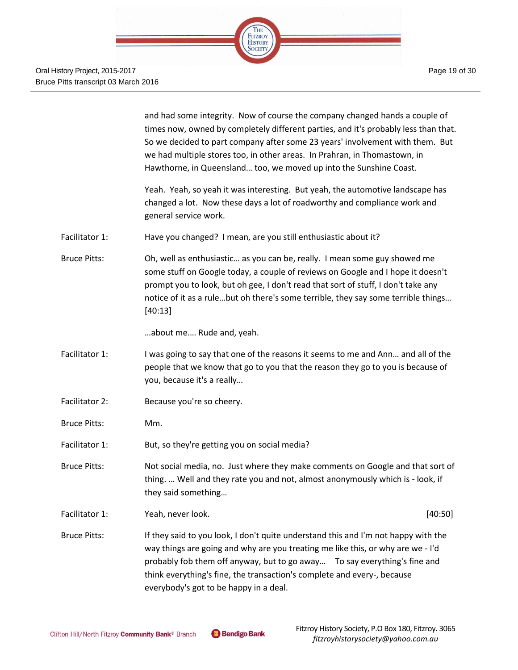|                     | and had some integrity. Now of course the company changed hands a couple of<br>times now, owned by completely different parties, and it's probably less than that.<br>So we decided to part company after some 23 years' involvement with them. But<br>we had multiple stores too, in other areas. In Prahran, in Thomastown, in<br>Hawthorne, in Queensland too, we moved up into the Sunshine Coast. |  |
|---------------------|--------------------------------------------------------------------------------------------------------------------------------------------------------------------------------------------------------------------------------------------------------------------------------------------------------------------------------------------------------------------------------------------------------|--|
|                     | Yeah. Yeah, so yeah it was interesting. But yeah, the automotive landscape has<br>changed a lot. Now these days a lot of roadworthy and compliance work and<br>general service work.                                                                                                                                                                                                                   |  |
| Facilitator 1:      | Have you changed? I mean, are you still enthusiastic about it?                                                                                                                                                                                                                                                                                                                                         |  |
| <b>Bruce Pitts:</b> | Oh, well as enthusiastic as you can be, really. I mean some guy showed me<br>some stuff on Google today, a couple of reviews on Google and I hope it doesn't<br>prompt you to look, but oh gee, I don't read that sort of stuff, I don't take any<br>notice of it as a rulebut oh there's some terrible, they say some terrible things<br>[40:13]                                                      |  |
|                     | about me Rude and, yeah.                                                                                                                                                                                                                                                                                                                                                                               |  |
| Facilitator 1:      | I was going to say that one of the reasons it seems to me and Ann and all of the<br>people that we know that go to you that the reason they go to you is because of<br>you, because it's a really                                                                                                                                                                                                      |  |
| Facilitator 2:      | Because you're so cheery.                                                                                                                                                                                                                                                                                                                                                                              |  |
| <b>Bruce Pitts:</b> | Mm.                                                                                                                                                                                                                                                                                                                                                                                                    |  |
| Facilitator 1:      | But, so they're getting you on social media?                                                                                                                                                                                                                                                                                                                                                           |  |
| <b>Bruce Pitts:</b> | Not social media, no. Just where they make comments on Google and that sort of<br>thing.  Well and they rate you and not, almost anonymously which is - look, if<br>they said something                                                                                                                                                                                                                |  |
| Facilitator 1:      | Yeah, never look.<br>[40:50]                                                                                                                                                                                                                                                                                                                                                                           |  |
| <b>Bruce Pitts:</b> | If they said to you look, I don't quite understand this and I'm not happy with the<br>way things are going and why are you treating me like this, or why are we - I'd<br>probably fob them off anyway, but to go away  To say everything's fine and<br>think everything's fine, the transaction's complete and every-, because<br>everybody's got to be happy in a deal.                               |  |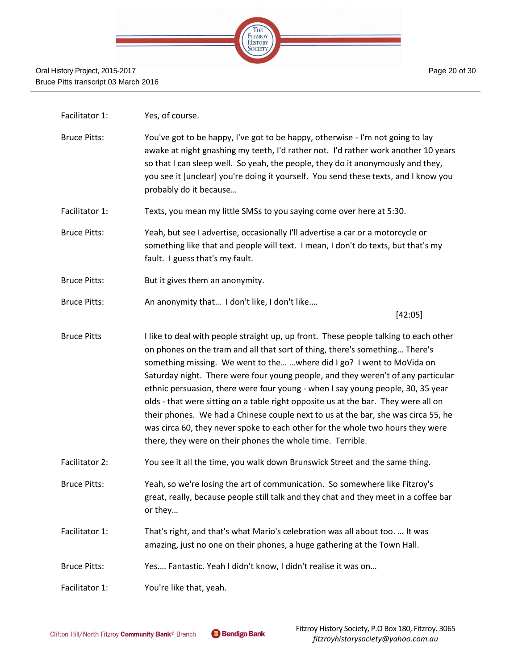

- Facilitator 1: Yes, of course.
- Bruce Pitts: You've got to be happy, I've got to be happy, otherwise I'm not going to lay awake at night gnashing my teeth, I'd rather not. I'd rather work another 10 years so that I can sleep well. So yeah, the people, they do it anonymously and they, you see it [unclear] you're doing it yourself. You send these texts, and I know you probably do it because…
- Facilitator 1: Texts, you mean my little SMSs to you saying come over here at 5:30.
- Bruce Pitts: Yeah, but see I advertise, occasionally I'll advertise a car or a motorcycle or something like that and people will text. I mean, I don't do texts, but that's my fault. I guess that's my fault.
- Bruce Pitts: But it gives them an anonymity.
- Bruce Pitts: An anonymity that… I don't like, I don't like.…

[42:05]

- Bruce Pitts I like to deal with people straight up, up front. These people talking to each other on phones on the tram and all that sort of thing, there's something… There's something missing. We went to the… …where did I go? I went to MoVida on Saturday night. There were four young people, and they weren't of any particular ethnic persuasion, there were four young - when I say young people, 30, 35 year olds - that were sitting on a table right opposite us at the bar. They were all on their phones. We had a Chinese couple next to us at the bar, she was circa 55, he was circa 60, they never spoke to each other for the whole two hours they were there, they were on their phones the whole time. Terrible.
- Facilitator 2: You see it all the time, you walk down Brunswick Street and the same thing.
- Bruce Pitts: Yeah, so we're losing the art of communication. So somewhere like Fitzroy's great, really, because people still talk and they chat and they meet in a coffee bar or they…
- Facilitator 1: That's right, and that's what Mario's celebration was all about too. … It was amazing, just no one on their phones, a huge gathering at the Town Hall.
- Bruce Pitts: Yes.… Fantastic. Yeah I didn't know, I didn't realise it was on…
- Facilitator 1: You're like that, yeah.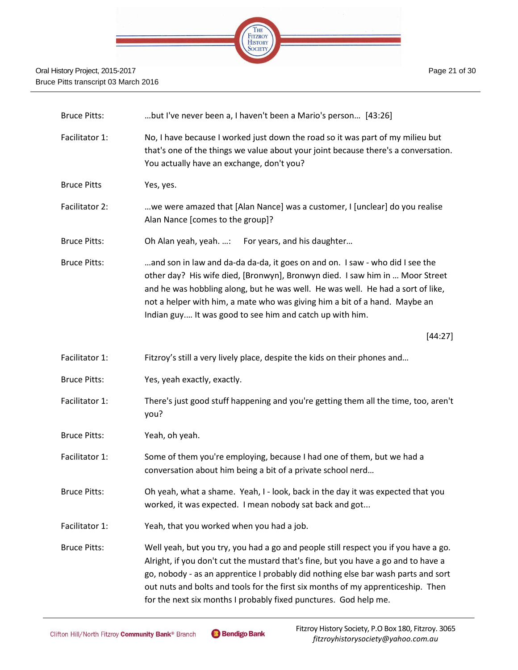

| <b>Bruce Pitts:</b> | but I've never been a, I haven't been a Mario's person [43:26]                                                                                                                                                                                                                                                                                                                                                         |
|---------------------|------------------------------------------------------------------------------------------------------------------------------------------------------------------------------------------------------------------------------------------------------------------------------------------------------------------------------------------------------------------------------------------------------------------------|
| Facilitator 1:      | No, I have because I worked just down the road so it was part of my milieu but<br>that's one of the things we value about your joint because there's a conversation.<br>You actually have an exchange, don't you?                                                                                                                                                                                                      |
| <b>Bruce Pitts</b>  | Yes, yes.                                                                                                                                                                                                                                                                                                                                                                                                              |
| Facilitator 2:      | we were amazed that [Alan Nance] was a customer, I [unclear] do you realise<br>Alan Nance [comes to the group]?                                                                                                                                                                                                                                                                                                        |
| <b>Bruce Pitts:</b> | Oh Alan yeah, yeah. :<br>For years, and his daughter                                                                                                                                                                                                                                                                                                                                                                   |
| <b>Bruce Pitts:</b> | and son in law and da-da da-da, it goes on and on. I saw - who did I see the<br>other day? His wife died, [Bronwyn], Bronwyn died. I saw him in  Moor Street<br>and he was hobbling along, but he was well. He was well. He had a sort of like,<br>not a helper with him, a mate who was giving him a bit of a hand. Maybe an<br>Indian guy It was good to see him and catch up with him.                              |
|                     | [44:27]                                                                                                                                                                                                                                                                                                                                                                                                                |
| Facilitator 1:      | Fitzroy's still a very lively place, despite the kids on their phones and                                                                                                                                                                                                                                                                                                                                              |
| <b>Bruce Pitts:</b> | Yes, yeah exactly, exactly.                                                                                                                                                                                                                                                                                                                                                                                            |
| Facilitator 1:      | There's just good stuff happening and you're getting them all the time, too, aren't<br>you?                                                                                                                                                                                                                                                                                                                            |
| <b>Bruce Pitts:</b> | Yeah, oh yeah.                                                                                                                                                                                                                                                                                                                                                                                                         |
| Facilitator 1:      | Some of them you're employing, because I had one of them, but we had a<br>conversation about him being a bit of a private school nerd                                                                                                                                                                                                                                                                                  |
| <b>Bruce Pitts:</b> | Oh yeah, what a shame. Yeah, I - look, back in the day it was expected that you<br>worked, it was expected. I mean nobody sat back and got                                                                                                                                                                                                                                                                             |
| Facilitator 1:      | Yeah, that you worked when you had a job.                                                                                                                                                                                                                                                                                                                                                                              |
| <b>Bruce Pitts:</b> | Well yeah, but you try, you had a go and people still respect you if you have a go.<br>Alright, if you don't cut the mustard that's fine, but you have a go and to have a<br>go, nobody - as an apprentice I probably did nothing else bar wash parts and sort<br>out nuts and bolts and tools for the first six months of my apprenticeship. Then<br>for the next six months I probably fixed punctures. God help me. |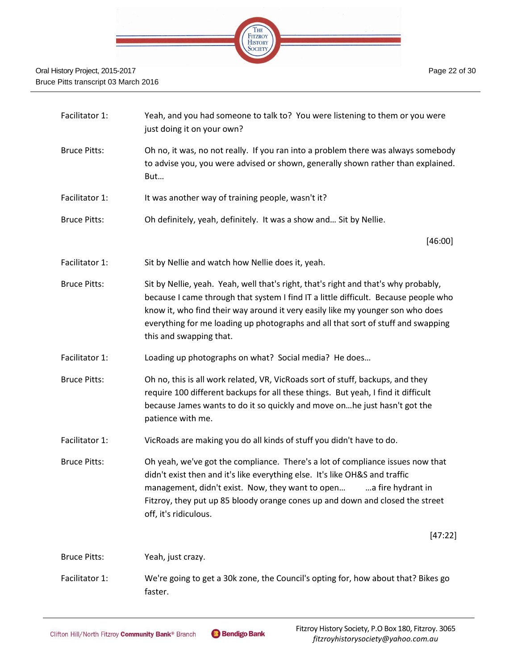

| Facilitator 1:      | Yeah, and you had someone to talk to? You were listening to them or you were<br>just doing it on your own?                                                                                                                                                                                                                                                                  |
|---------------------|-----------------------------------------------------------------------------------------------------------------------------------------------------------------------------------------------------------------------------------------------------------------------------------------------------------------------------------------------------------------------------|
| <b>Bruce Pitts:</b> | Oh no, it was, no not really. If you ran into a problem there was always somebody<br>to advise you, you were advised or shown, generally shown rather than explained.<br>But                                                                                                                                                                                                |
| Facilitator 1:      | It was another way of training people, wasn't it?                                                                                                                                                                                                                                                                                                                           |
| <b>Bruce Pitts:</b> | Oh definitely, yeah, definitely. It was a show and Sit by Nellie.                                                                                                                                                                                                                                                                                                           |
|                     | [46:00]                                                                                                                                                                                                                                                                                                                                                                     |
| Facilitator 1:      | Sit by Nellie and watch how Nellie does it, yeah.                                                                                                                                                                                                                                                                                                                           |
| <b>Bruce Pitts:</b> | Sit by Nellie, yeah. Yeah, well that's right, that's right and that's why probably,<br>because I came through that system I find IT a little difficult. Because people who<br>know it, who find their way around it very easily like my younger son who does<br>everything for me loading up photographs and all that sort of stuff and swapping<br>this and swapping that. |
| Facilitator 1:      | Loading up photographs on what? Social media? He does                                                                                                                                                                                                                                                                                                                       |
| <b>Bruce Pitts:</b> | Oh no, this is all work related, VR, VicRoads sort of stuff, backups, and they<br>require 100 different backups for all these things. But yeah, I find it difficult<br>because James wants to do it so quickly and move on he just hasn't got the<br>patience with me.                                                                                                      |
| Facilitator 1:      | VicRoads are making you do all kinds of stuff you didn't have to do.                                                                                                                                                                                                                                                                                                        |
| <b>Bruce Pitts:</b> | Oh yeah, we've got the compliance. There's a lot of compliance issues now that<br>didn't exist then and it's like everything else. It's like OH&S and traffic<br>management, didn't exist. Now, they want to open  a fire hydrant in<br>Fitzroy, they put up 85 bloody orange cones up and down and closed the street<br>off, it's ridiculous.                              |
|                     | [47:22]                                                                                                                                                                                                                                                                                                                                                                     |
| <b>Bruce Pitts:</b> | Yeah, just crazy.                                                                                                                                                                                                                                                                                                                                                           |
| Facilitator 1:      | We're going to get a 30k zone, the Council's opting for, how about that? Bikes go<br>faster.                                                                                                                                                                                                                                                                                |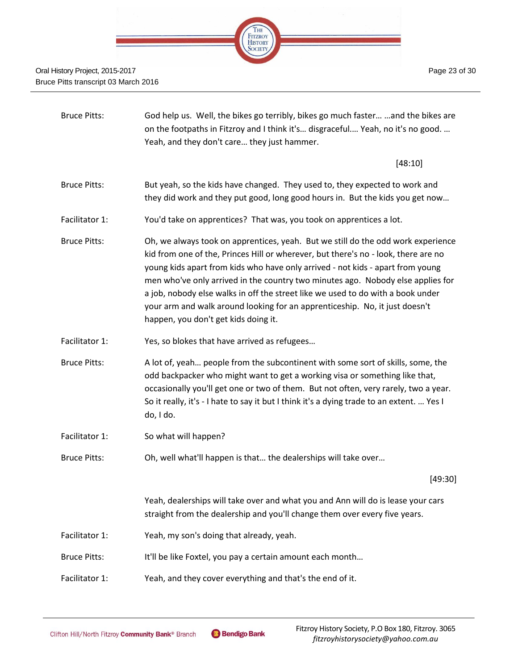

| <b>Bruce Pitts:</b> | God help us. Well, the bikes go terribly, bikes go much faster  and the bikes are<br>on the footpaths in Fitzroy and I think it's disgraceful Yeah, no it's no good.<br>Yeah, and they don't care they just hammer.                                                                                                                                                                                                                                                                                                                                   |
|---------------------|-------------------------------------------------------------------------------------------------------------------------------------------------------------------------------------------------------------------------------------------------------------------------------------------------------------------------------------------------------------------------------------------------------------------------------------------------------------------------------------------------------------------------------------------------------|
|                     | [48:10]                                                                                                                                                                                                                                                                                                                                                                                                                                                                                                                                               |
| <b>Bruce Pitts:</b> | But yeah, so the kids have changed. They used to, they expected to work and<br>they did work and they put good, long good hours in. But the kids you get now                                                                                                                                                                                                                                                                                                                                                                                          |
| Facilitator 1:      | You'd take on apprentices? That was, you took on apprentices a lot.                                                                                                                                                                                                                                                                                                                                                                                                                                                                                   |
| <b>Bruce Pitts:</b> | Oh, we always took on apprentices, yeah. But we still do the odd work experience<br>kid from one of the, Princes Hill or wherever, but there's no - look, there are no<br>young kids apart from kids who have only arrived - not kids - apart from young<br>men who've only arrived in the country two minutes ago. Nobody else applies for<br>a job, nobody else walks in off the street like we used to do with a book under<br>your arm and walk around looking for an apprenticeship. No, it just doesn't<br>happen, you don't get kids doing it. |
| Facilitator 1:      | Yes, so blokes that have arrived as refugees                                                                                                                                                                                                                                                                                                                                                                                                                                                                                                          |
| <b>Bruce Pitts:</b> | A lot of, yeah people from the subcontinent with some sort of skills, some, the<br>odd backpacker who might want to get a working visa or something like that,<br>occasionally you'll get one or two of them. But not often, very rarely, two a year.<br>So it really, it's - I hate to say it but I think it's a dying trade to an extent.  Yes I<br>do, I do.                                                                                                                                                                                       |
| Facilitator 1:      | So what will happen?                                                                                                                                                                                                                                                                                                                                                                                                                                                                                                                                  |
| <b>Bruce Pitts:</b> | Oh, well what'll happen is that the dealerships will take over                                                                                                                                                                                                                                                                                                                                                                                                                                                                                        |
|                     | [49:30]                                                                                                                                                                                                                                                                                                                                                                                                                                                                                                                                               |
|                     | Yeah, dealerships will take over and what you and Ann will do is lease your cars<br>straight from the dealership and you'll change them over every five years.                                                                                                                                                                                                                                                                                                                                                                                        |
| Facilitator 1:      | Yeah, my son's doing that already, yeah.                                                                                                                                                                                                                                                                                                                                                                                                                                                                                                              |
| <b>Bruce Pitts:</b> | It'll be like Foxtel, you pay a certain amount each month                                                                                                                                                                                                                                                                                                                                                                                                                                                                                             |
| Facilitator 1:      | Yeah, and they cover everything and that's the end of it.                                                                                                                                                                                                                                                                                                                                                                                                                                                                                             |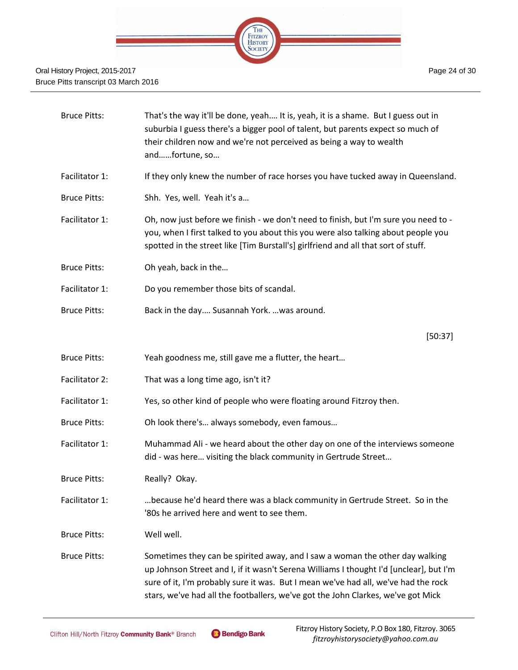

| <b>Bruce Pitts:</b> | That's the way it'll be done, yeah It is, yeah, it is a shame. But I guess out in<br>suburbia I guess there's a bigger pool of talent, but parents expect so much of<br>their children now and we're not perceived as being a way to wealth<br>andfortune, so                                                                                    |
|---------------------|--------------------------------------------------------------------------------------------------------------------------------------------------------------------------------------------------------------------------------------------------------------------------------------------------------------------------------------------------|
| Facilitator 1:      | If they only knew the number of race horses you have tucked away in Queensland.                                                                                                                                                                                                                                                                  |
| <b>Bruce Pitts:</b> | Shh. Yes, well. Yeah it's a                                                                                                                                                                                                                                                                                                                      |
| Facilitator 1:      | Oh, now just before we finish - we don't need to finish, but I'm sure you need to -<br>you, when I first talked to you about this you were also talking about people you<br>spotted in the street like [Tim Burstall's] girlfriend and all that sort of stuff.                                                                                   |
| <b>Bruce Pitts:</b> | Oh yeah, back in the                                                                                                                                                                                                                                                                                                                             |
| Facilitator 1:      | Do you remember those bits of scandal.                                                                                                                                                                                                                                                                                                           |
| <b>Bruce Pitts:</b> | Back in the day Susannah York.  was around.                                                                                                                                                                                                                                                                                                      |
|                     | [50:37]                                                                                                                                                                                                                                                                                                                                          |
| <b>Bruce Pitts:</b> | Yeah goodness me, still gave me a flutter, the heart                                                                                                                                                                                                                                                                                             |
| Facilitator 2:      | That was a long time ago, isn't it?                                                                                                                                                                                                                                                                                                              |
| Facilitator 1:      | Yes, so other kind of people who were floating around Fitzroy then.                                                                                                                                                                                                                                                                              |
| <b>Bruce Pitts:</b> | Oh look there's always somebody, even famous                                                                                                                                                                                                                                                                                                     |
| Facilitator 1:      | Muhammad Ali - we heard about the other day on one of the interviews someone<br>did - was here visiting the black community in Gertrude Street                                                                                                                                                                                                   |
| <b>Bruce Pitts:</b> | Really? Okay.                                                                                                                                                                                                                                                                                                                                    |
| Facilitator 1:      | because he'd heard there was a black community in Gertrude Street. So in the<br>'80s he arrived here and went to see them.                                                                                                                                                                                                                       |
| <b>Bruce Pitts:</b> | Well well.                                                                                                                                                                                                                                                                                                                                       |
| <b>Bruce Pitts:</b> | Sometimes they can be spirited away, and I saw a woman the other day walking<br>up Johnson Street and I, if it wasn't Serena Williams I thought I'd [unclear], but I'm<br>sure of it, I'm probably sure it was. But I mean we've had all, we've had the rock<br>stars, we've had all the footballers, we've got the John Clarkes, we've got Mick |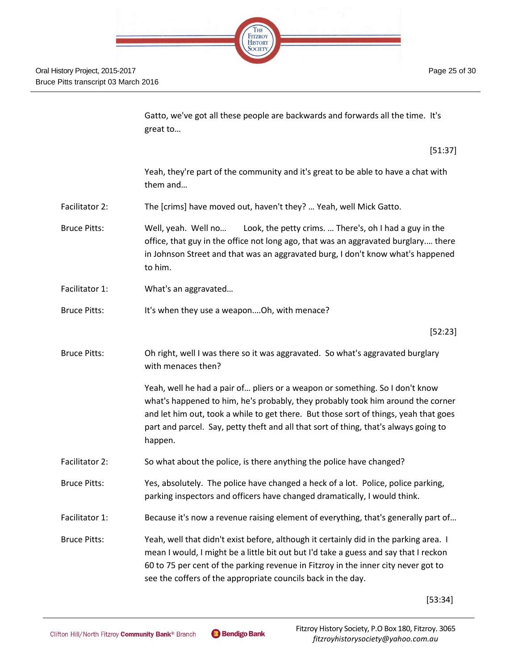

Page 25 of 30

Gatto, we've got all these people are backwards and forwards all the time. It's great to…

[51:37]

Yeah, they're part of the community and it's great to be able to have a chat with them and…

- Facilitator 2: The [crims] have moved out, haven't they? … Yeah, well Mick Gatto.
- Bruce Pitts: Well, yeah. Well no… Look, the petty crims. … There's, oh I had a guy in the office, that guy in the office not long ago, that was an aggravated burglary.… there in Johnson Street and that was an aggravated burg, I don't know what's happened to him.
- Facilitator 1: What's an aggravated...
- Bruce Pitts: It's when they use a weapon....Oh, with menace?

[52:23]

Bruce Pitts: Oh right, well I was there so it was aggravated. So what's aggravated burglary with menaces then?

> Yeah, well he had a pair of… pliers or a weapon or something. So I don't know what's happened to him, he's probably, they probably took him around the corner and let him out, took a while to get there. But those sort of things, yeah that goes part and parcel. Say, petty theft and all that sort of thing, that's always going to happen.

- Facilitator 2: So what about the police, is there anything the police have changed?
- Bruce Pitts: Yes, absolutely. The police have changed a heck of a lot. Police, police parking, parking inspectors and officers have changed dramatically, I would think.
- Facilitator 1: Because it's now a revenue raising element of everything, that's generally part of...

Bruce Pitts: Yeah, well that didn't exist before, although it certainly did in the parking area. I mean I would, I might be a little bit out but I'd take a guess and say that I reckon 60 to 75 per cent of the parking revenue in Fitzroy in the inner city never got to see the coffers of the appropriate councils back in the day.

[53:34]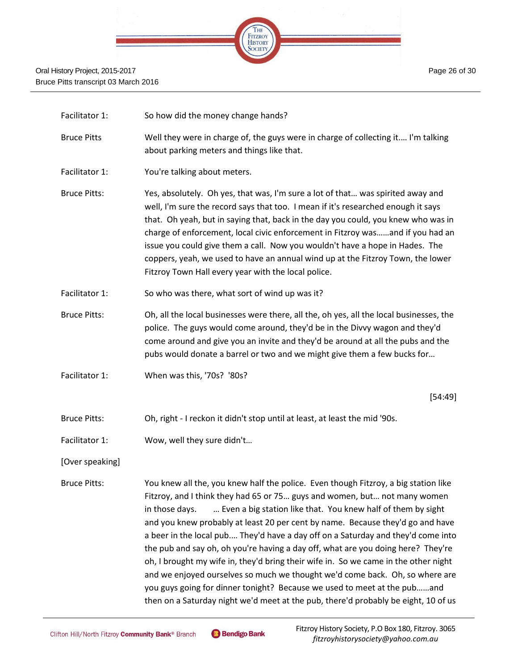

| Facilitator 1:      | So how did the money change hands?                                                                                                                                                                                                                                                                                                                                                                                                                                                                                                                                                                                                                                                                                                                                                                                                                    |  |
|---------------------|-------------------------------------------------------------------------------------------------------------------------------------------------------------------------------------------------------------------------------------------------------------------------------------------------------------------------------------------------------------------------------------------------------------------------------------------------------------------------------------------------------------------------------------------------------------------------------------------------------------------------------------------------------------------------------------------------------------------------------------------------------------------------------------------------------------------------------------------------------|--|
| <b>Bruce Pitts</b>  | Well they were in charge of, the guys were in charge of collecting it I'm talking<br>about parking meters and things like that.                                                                                                                                                                                                                                                                                                                                                                                                                                                                                                                                                                                                                                                                                                                       |  |
| Facilitator 1:      | You're talking about meters.                                                                                                                                                                                                                                                                                                                                                                                                                                                                                                                                                                                                                                                                                                                                                                                                                          |  |
| <b>Bruce Pitts:</b> | Yes, absolutely. Oh yes, that was, I'm sure a lot of that was spirited away and<br>well, I'm sure the record says that too. I mean if it's researched enough it says<br>that. Oh yeah, but in saying that, back in the day you could, you knew who was in<br>charge of enforcement, local civic enforcement in Fitzroy wasand if you had an<br>issue you could give them a call. Now you wouldn't have a hope in Hades. The<br>coppers, yeah, we used to have an annual wind up at the Fitzroy Town, the lower<br>Fitzroy Town Hall every year with the local police.                                                                                                                                                                                                                                                                                 |  |
| Facilitator 1:      | So who was there, what sort of wind up was it?                                                                                                                                                                                                                                                                                                                                                                                                                                                                                                                                                                                                                                                                                                                                                                                                        |  |
| <b>Bruce Pitts:</b> | Oh, all the local businesses were there, all the, oh yes, all the local businesses, the<br>police. The guys would come around, they'd be in the Divvy wagon and they'd<br>come around and give you an invite and they'd be around at all the pubs and the<br>pubs would donate a barrel or two and we might give them a few bucks for                                                                                                                                                                                                                                                                                                                                                                                                                                                                                                                 |  |
| Facilitator 1:      | When was this, '70s? '80s?                                                                                                                                                                                                                                                                                                                                                                                                                                                                                                                                                                                                                                                                                                                                                                                                                            |  |
|                     | [54:49]                                                                                                                                                                                                                                                                                                                                                                                                                                                                                                                                                                                                                                                                                                                                                                                                                                               |  |
| <b>Bruce Pitts:</b> | Oh, right - I reckon it didn't stop until at least, at least the mid '90s.                                                                                                                                                                                                                                                                                                                                                                                                                                                                                                                                                                                                                                                                                                                                                                            |  |
| Facilitator 1:      | Wow, well they sure didn't                                                                                                                                                                                                                                                                                                                                                                                                                                                                                                                                                                                                                                                                                                                                                                                                                            |  |
| [Over speaking]     |                                                                                                                                                                                                                                                                                                                                                                                                                                                                                                                                                                                                                                                                                                                                                                                                                                                       |  |
| <b>Bruce Pitts:</b> | You knew all the, you knew half the police. Even though Fitzroy, a big station like<br>Fitzroy, and I think they had 65 or 75 guys and women, but not many women<br>in those days.<br>Even a big station like that. You knew half of them by sight<br>and you knew probably at least 20 per cent by name. Because they'd go and have<br>a beer in the local pub They'd have a day off on a Saturday and they'd come into<br>the pub and say oh, oh you're having a day off, what are you doing here? They're<br>oh, I brought my wife in, they'd bring their wife in. So we came in the other night<br>and we enjoyed ourselves so much we thought we'd come back. Oh, so where are<br>you guys going for dinner tonight? Because we used to meet at the puband<br>then on a Saturday night we'd meet at the pub, there'd probably be eight, 10 of us |  |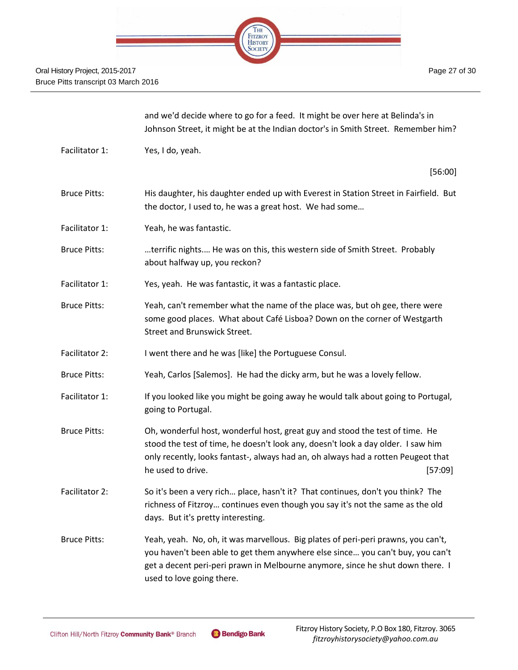

|                     | and we'd decide where to go for a feed. It might be over here at Belinda's in<br>Johnson Street, it might be at the Indian doctor's in Smith Street. Remember him?                                                                                                                    |
|---------------------|---------------------------------------------------------------------------------------------------------------------------------------------------------------------------------------------------------------------------------------------------------------------------------------|
| Facilitator 1:      | Yes, I do, yeah.                                                                                                                                                                                                                                                                      |
|                     | [56:00]                                                                                                                                                                                                                                                                               |
| <b>Bruce Pitts:</b> | His daughter, his daughter ended up with Everest in Station Street in Fairfield. But<br>the doctor, I used to, he was a great host. We had some                                                                                                                                       |
| Facilitator 1:      | Yeah, he was fantastic.                                                                                                                                                                                                                                                               |
| <b>Bruce Pitts:</b> | terrific nights He was on this, this western side of Smith Street. Probably<br>about halfway up, you reckon?                                                                                                                                                                          |
| Facilitator 1:      | Yes, yeah. He was fantastic, it was a fantastic place.                                                                                                                                                                                                                                |
| <b>Bruce Pitts:</b> | Yeah, can't remember what the name of the place was, but oh gee, there were<br>some good places. What about Café Lisboa? Down on the corner of Westgarth<br><b>Street and Brunswick Street.</b>                                                                                       |
| Facilitator 2:      | I went there and he was [like] the Portuguese Consul.                                                                                                                                                                                                                                 |
| <b>Bruce Pitts:</b> | Yeah, Carlos [Salemos]. He had the dicky arm, but he was a lovely fellow.                                                                                                                                                                                                             |
| Facilitator 1:      | If you looked like you might be going away he would talk about going to Portugal,<br>going to Portugal.                                                                                                                                                                               |
| <b>Bruce Pitts:</b> | Oh, wonderful host, wonderful host, great guy and stood the test of time. He<br>stood the test of time, he doesn't look any, doesn't look a day older. I saw him<br>only recently, looks fantast-, always had an, oh always had a rotten Peugeot that<br>he used to drive.<br>[57:09] |
| Facilitator 2:      | So it's been a very rich place, hasn't it? That continues, don't you think? The<br>richness of Fitzroy continues even though you say it's not the same as the old<br>days. But it's pretty interesting.                                                                               |
| <b>Bruce Pitts:</b> | Yeah, yeah. No, oh, it was marvellous. Big plates of peri-peri prawns, you can't,<br>you haven't been able to get them anywhere else since you can't buy, you can't<br>get a decent peri-peri prawn in Melbourne anymore, since he shut down there. I<br>used to love going there.    |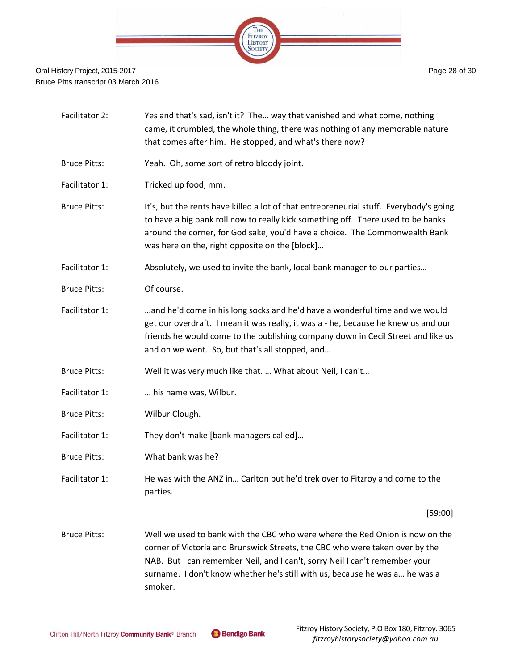

| Facilitator 2:      | Yes and that's sad, isn't it? The way that vanished and what come, nothing<br>came, it crumbled, the whole thing, there was nothing of any memorable nature<br>that comes after him. He stopped, and what's there now?                                                                                                     |
|---------------------|----------------------------------------------------------------------------------------------------------------------------------------------------------------------------------------------------------------------------------------------------------------------------------------------------------------------------|
| <b>Bruce Pitts:</b> | Yeah. Oh, some sort of retro bloody joint.                                                                                                                                                                                                                                                                                 |
| Facilitator 1:      | Tricked up food, mm.                                                                                                                                                                                                                                                                                                       |
| <b>Bruce Pitts:</b> | It's, but the rents have killed a lot of that entrepreneurial stuff. Everybody's going<br>to have a big bank roll now to really kick something off. There used to be banks<br>around the corner, for God sake, you'd have a choice. The Commonwealth Bank<br>was here on the, right opposite on the [block]                |
| Facilitator 1:      | Absolutely, we used to invite the bank, local bank manager to our parties                                                                                                                                                                                                                                                  |
| <b>Bruce Pitts:</b> | Of course.                                                                                                                                                                                                                                                                                                                 |
| Facilitator 1:      | and he'd come in his long socks and he'd have a wonderful time and we would<br>get our overdraft. I mean it was really, it was a - he, because he knew us and our<br>friends he would come to the publishing company down in Cecil Street and like us<br>and on we went. So, but that's all stopped, and                   |
| <b>Bruce Pitts:</b> | Well it was very much like that.  What about Neil, I can't                                                                                                                                                                                                                                                                 |
| Facilitator 1:      | his name was, Wilbur.                                                                                                                                                                                                                                                                                                      |
| <b>Bruce Pitts:</b> | Wilbur Clough.                                                                                                                                                                                                                                                                                                             |
| Facilitator 1:      | They don't make [bank managers called]                                                                                                                                                                                                                                                                                     |
| <b>Bruce Pitts:</b> | What bank was he?                                                                                                                                                                                                                                                                                                          |
| Facilitator 1:      | He was with the ANZ in Carlton but he'd trek over to Fitzroy and come to the<br>parties.                                                                                                                                                                                                                                   |
|                     | [59:00]                                                                                                                                                                                                                                                                                                                    |
| <b>Bruce Pitts:</b> | Well we used to bank with the CBC who were where the Red Onion is now on the<br>corner of Victoria and Brunswick Streets, the CBC who were taken over by the<br>NAB. But I can remember Neil, and I can't, sorry Neil I can't remember your<br>surname. I don't know whether he's still with us, because he was a he was a |

smoker.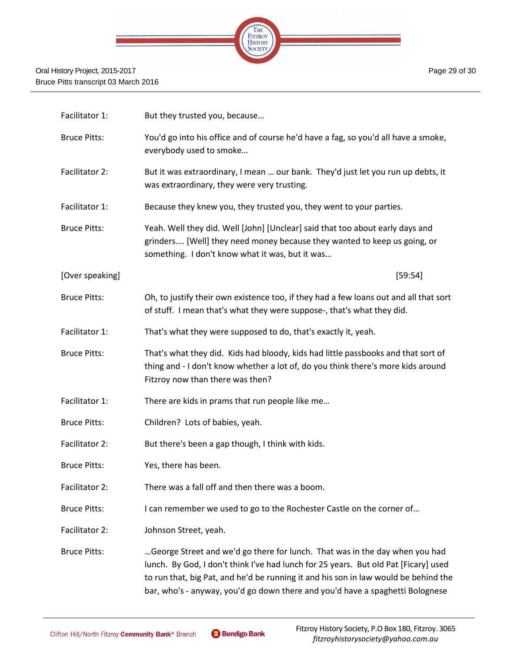

| Facilitator 1:      | But they trusted you, because                                                                                                                                                                                                                                                                                                              |  |
|---------------------|--------------------------------------------------------------------------------------------------------------------------------------------------------------------------------------------------------------------------------------------------------------------------------------------------------------------------------------------|--|
| <b>Bruce Pitts:</b> | You'd go into his office and of course he'd have a fag, so you'd all have a smoke,<br>everybody used to smoke                                                                                                                                                                                                                              |  |
| Facilitator 2:      | But it was extraordinary, I mean  our bank. They'd just let you run up debts, it<br>was extraordinary, they were very trusting.                                                                                                                                                                                                            |  |
| Facilitator 1:      | Because they knew you, they trusted you, they went to your parties.                                                                                                                                                                                                                                                                        |  |
| <b>Bruce Pitts:</b> | Yeah. Well they did. Well [John] [Unclear] said that too about early days and<br>grinders [Well] they need money because they wanted to keep us going, or<br>something. I don't know what it was, but it was                                                                                                                               |  |
| [Over speaking]     | [59:54]                                                                                                                                                                                                                                                                                                                                    |  |
| <b>Bruce Pitts:</b> | Oh, to justify their own existence too, if they had a few loans out and all that sort<br>of stuff. I mean that's what they were suppose-, that's what they did.                                                                                                                                                                            |  |
| Facilitator 1:      | That's what they were supposed to do, that's exactly it, yeah.                                                                                                                                                                                                                                                                             |  |
| <b>Bruce Pitts:</b> | That's what they did. Kids had bloody, kids had little passbooks and that sort of<br>thing and - I don't know whether a lot of, do you think there's more kids around<br>Fitzroy now than there was then?                                                                                                                                  |  |
| Facilitator 1:      | There are kids in prams that run people like me                                                                                                                                                                                                                                                                                            |  |
| <b>Bruce Pitts:</b> | Children? Lots of babies, yeah.                                                                                                                                                                                                                                                                                                            |  |
| Facilitator 2:      | But there's been a gap though, I think with kids.                                                                                                                                                                                                                                                                                          |  |
| <b>Bruce Pitts:</b> | Yes, there has been.                                                                                                                                                                                                                                                                                                                       |  |
| Facilitator 2:      | There was a fall off and then there was a boom.                                                                                                                                                                                                                                                                                            |  |
| <b>Bruce Pitts:</b> | I can remember we used to go to the Rochester Castle on the corner of                                                                                                                                                                                                                                                                      |  |
| Facilitator 2:      | Johnson Street, yeah.                                                                                                                                                                                                                                                                                                                      |  |
| <b>Bruce Pitts:</b> | George Street and we'd go there for lunch. That was in the day when you had<br>lunch. By God, I don't think I've had lunch for 25 years. But old Pat [Ficary] used<br>to run that, big Pat, and he'd be running it and his son in law would be behind the<br>bar, who's - anyway, you'd go down there and you'd have a spaghetti Bolognese |  |